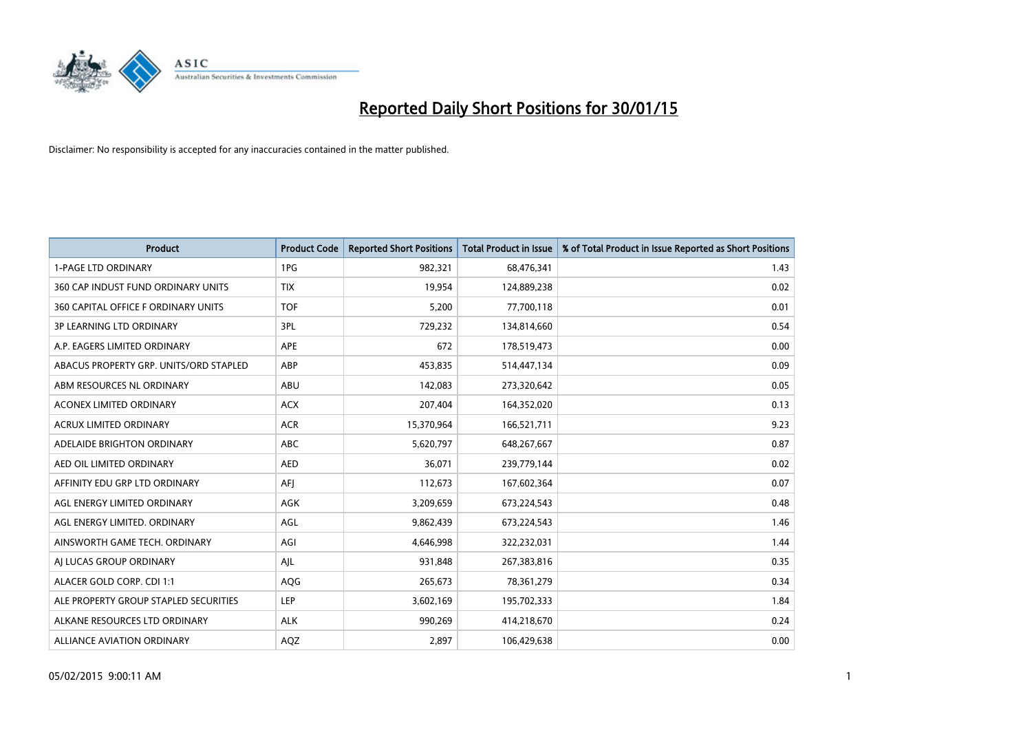

| <b>Product</b>                         | <b>Product Code</b> | <b>Reported Short Positions</b> | <b>Total Product in Issue</b> | % of Total Product in Issue Reported as Short Positions |
|----------------------------------------|---------------------|---------------------------------|-------------------------------|---------------------------------------------------------|
| <b>1-PAGE LTD ORDINARY</b>             | 1PG                 | 982,321                         | 68,476,341                    | 1.43                                                    |
| 360 CAP INDUST FUND ORDINARY UNITS     | <b>TIX</b>          | 19,954                          | 124,889,238                   | 0.02                                                    |
| 360 CAPITAL OFFICE F ORDINARY UNITS    | <b>TOF</b>          | 5,200                           | 77,700,118                    | 0.01                                                    |
| <b>3P LEARNING LTD ORDINARY</b>        | 3PL                 | 729,232                         | 134,814,660                   | 0.54                                                    |
| A.P. EAGERS LIMITED ORDINARY           | <b>APE</b>          | 672                             | 178,519,473                   | 0.00                                                    |
| ABACUS PROPERTY GRP. UNITS/ORD STAPLED | ABP                 | 453,835                         | 514,447,134                   | 0.09                                                    |
| ABM RESOURCES NL ORDINARY              | ABU                 | 142,083                         | 273,320,642                   | 0.05                                                    |
| ACONEX LIMITED ORDINARY                | <b>ACX</b>          | 207,404                         | 164,352,020                   | 0.13                                                    |
| <b>ACRUX LIMITED ORDINARY</b>          | <b>ACR</b>          | 15,370,964                      | 166,521,711                   | 9.23                                                    |
| ADELAIDE BRIGHTON ORDINARY             | <b>ABC</b>          | 5,620,797                       | 648,267,667                   | 0.87                                                    |
| AED OIL LIMITED ORDINARY               | AED                 | 36,071                          | 239,779,144                   | 0.02                                                    |
| AFFINITY EDU GRP LTD ORDINARY          | AFJ                 | 112,673                         | 167,602,364                   | 0.07                                                    |
| AGL ENERGY LIMITED ORDINARY            | <b>AGK</b>          | 3,209,659                       | 673,224,543                   | 0.48                                                    |
| AGL ENERGY LIMITED. ORDINARY           | AGL                 | 9,862,439                       | 673,224,543                   | 1.46                                                    |
| AINSWORTH GAME TECH. ORDINARY          | AGI                 | 4,646,998                       | 322,232,031                   | 1.44                                                    |
| AI LUCAS GROUP ORDINARY                | AJL                 | 931,848                         | 267,383,816                   | 0.35                                                    |
| ALACER GOLD CORP. CDI 1:1              | AQG                 | 265,673                         | 78,361,279                    | 0.34                                                    |
| ALE PROPERTY GROUP STAPLED SECURITIES  | LEP                 | 3,602,169                       | 195,702,333                   | 1.84                                                    |
| ALKANE RESOURCES LTD ORDINARY          | <b>ALK</b>          | 990,269                         | 414,218,670                   | 0.24                                                    |
| <b>ALLIANCE AVIATION ORDINARY</b>      | AQZ                 | 2,897                           | 106,429,638                   | 0.00                                                    |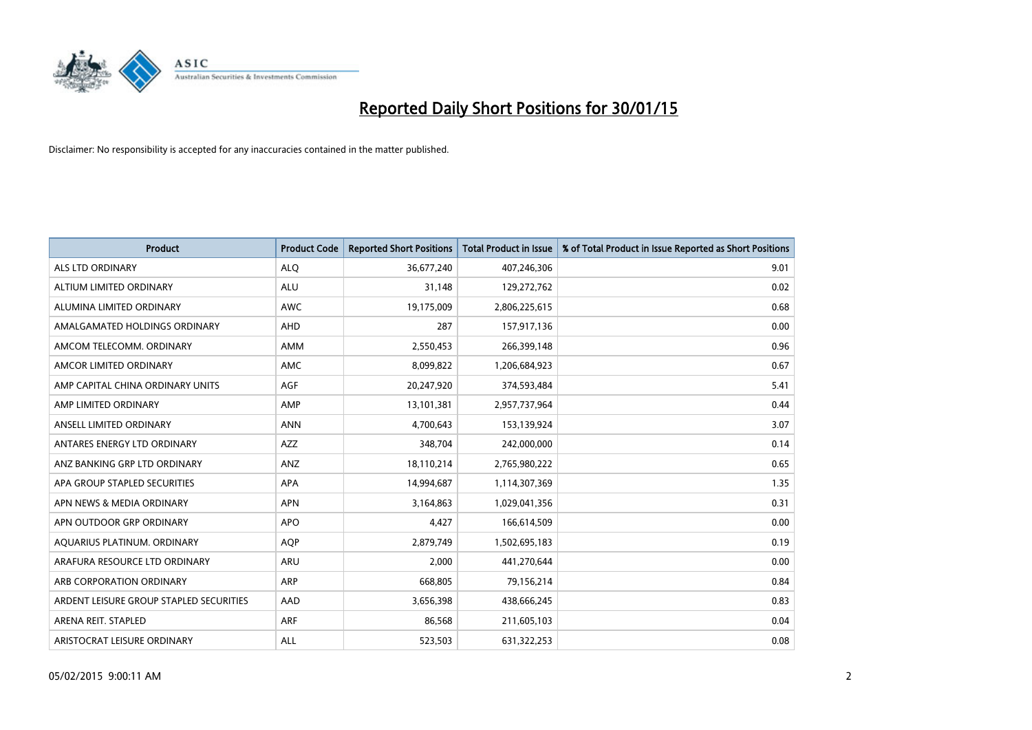

| <b>Product</b>                          | <b>Product Code</b> | <b>Reported Short Positions</b> | <b>Total Product in Issue</b> | % of Total Product in Issue Reported as Short Positions |
|-----------------------------------------|---------------------|---------------------------------|-------------------------------|---------------------------------------------------------|
| <b>ALS LTD ORDINARY</b>                 | <b>ALQ</b>          | 36,677,240                      | 407,246,306                   | 9.01                                                    |
| ALTIUM LIMITED ORDINARY                 | ALU                 | 31,148                          | 129,272,762                   | 0.02                                                    |
| ALUMINA LIMITED ORDINARY                | <b>AWC</b>          | 19,175,009                      | 2,806,225,615                 | 0.68                                                    |
| AMALGAMATED HOLDINGS ORDINARY           | AHD                 | 287                             | 157,917,136                   | 0.00                                                    |
| AMCOM TELECOMM, ORDINARY                | AMM                 | 2,550,453                       | 266,399,148                   | 0.96                                                    |
| AMCOR LIMITED ORDINARY                  | AMC                 | 8,099,822                       | 1,206,684,923                 | 0.67                                                    |
| AMP CAPITAL CHINA ORDINARY UNITS        | AGF                 | 20,247,920                      | 374,593,484                   | 5.41                                                    |
| AMP LIMITED ORDINARY                    | AMP                 | 13,101,381                      | 2,957,737,964                 | 0.44                                                    |
| ANSELL LIMITED ORDINARY                 | <b>ANN</b>          | 4,700,643                       | 153,139,924                   | 3.07                                                    |
| ANTARES ENERGY LTD ORDINARY             | AZZ                 | 348,704                         | 242,000,000                   | 0.14                                                    |
| ANZ BANKING GRP LTD ORDINARY            | ANZ                 | 18,110,214                      | 2,765,980,222                 | 0.65                                                    |
| APA GROUP STAPLED SECURITIES            | APA                 | 14,994,687                      | 1,114,307,369                 | 1.35                                                    |
| APN NEWS & MEDIA ORDINARY               | <b>APN</b>          | 3,164,863                       | 1,029,041,356                 | 0.31                                                    |
| APN OUTDOOR GRP ORDINARY                | <b>APO</b>          | 4,427                           | 166,614,509                   | 0.00                                                    |
| AQUARIUS PLATINUM. ORDINARY             | AQP                 | 2,879,749                       | 1,502,695,183                 | 0.19                                                    |
| ARAFURA RESOURCE LTD ORDINARY           | ARU                 | 2,000                           | 441,270,644                   | 0.00                                                    |
| ARB CORPORATION ORDINARY                | ARP                 | 668,805                         | 79,156,214                    | 0.84                                                    |
| ARDENT LEISURE GROUP STAPLED SECURITIES | AAD                 | 3,656,398                       | 438,666,245                   | 0.83                                                    |
| ARENA REIT. STAPLED                     | <b>ARF</b>          | 86,568                          | 211,605,103                   | 0.04                                                    |
| ARISTOCRAT LEISURE ORDINARY             | ALL                 | 523,503                         | 631,322,253                   | 0.08                                                    |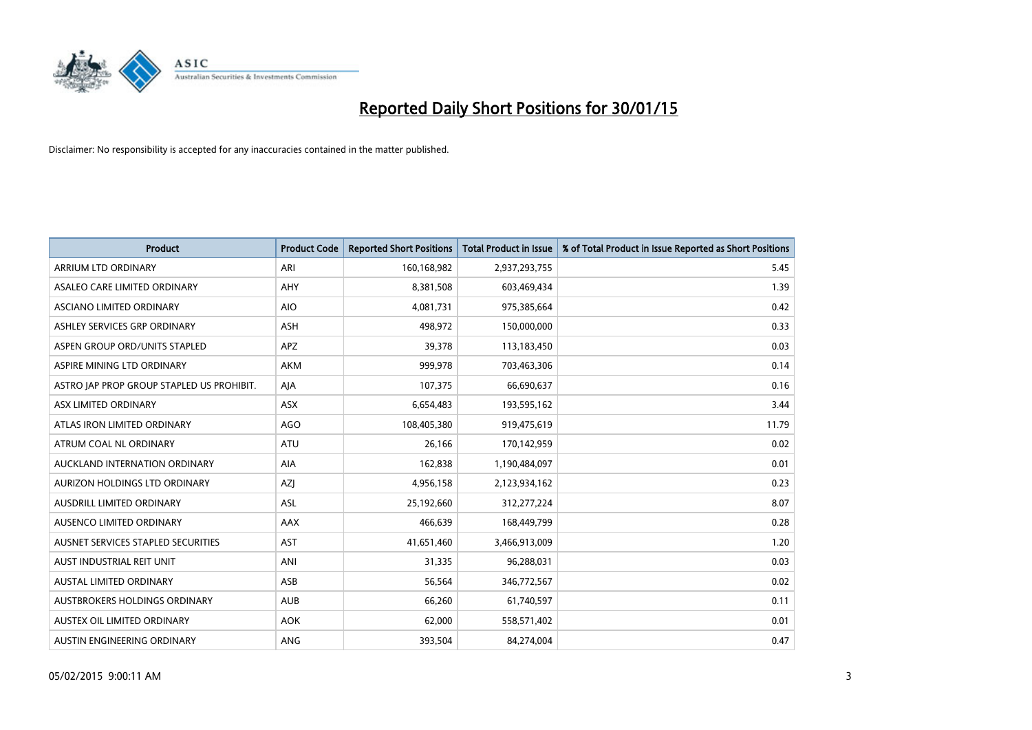

| <b>Product</b>                            | <b>Product Code</b> | <b>Reported Short Positions</b> | <b>Total Product in Issue</b> | % of Total Product in Issue Reported as Short Positions |
|-------------------------------------------|---------------------|---------------------------------|-------------------------------|---------------------------------------------------------|
| <b>ARRIUM LTD ORDINARY</b>                | ARI                 | 160,168,982                     | 2,937,293,755                 | 5.45                                                    |
| ASALEO CARE LIMITED ORDINARY              | AHY                 | 8,381,508                       | 603,469,434                   | 1.39                                                    |
| ASCIANO LIMITED ORDINARY                  | <b>AIO</b>          | 4,081,731                       | 975,385,664                   | 0.42                                                    |
| ASHLEY SERVICES GRP ORDINARY              | <b>ASH</b>          | 498,972                         | 150,000,000                   | 0.33                                                    |
| ASPEN GROUP ORD/UNITS STAPLED             | APZ                 | 39,378                          | 113,183,450                   | 0.03                                                    |
| ASPIRE MINING LTD ORDINARY                | <b>AKM</b>          | 999,978                         | 703,463,306                   | 0.14                                                    |
| ASTRO JAP PROP GROUP STAPLED US PROHIBIT. | AJA                 | 107,375                         | 66,690,637                    | 0.16                                                    |
| ASX LIMITED ORDINARY                      | ASX                 | 6,654,483                       | 193,595,162                   | 3.44                                                    |
| ATLAS IRON LIMITED ORDINARY               | <b>AGO</b>          | 108,405,380                     | 919,475,619                   | 11.79                                                   |
| ATRUM COAL NL ORDINARY                    | <b>ATU</b>          | 26,166                          | 170,142,959                   | 0.02                                                    |
| AUCKLAND INTERNATION ORDINARY             | AIA                 | 162,838                         | 1,190,484,097                 | 0.01                                                    |
| AURIZON HOLDINGS LTD ORDINARY             | AZJ                 | 4,956,158                       | 2,123,934,162                 | 0.23                                                    |
| AUSDRILL LIMITED ORDINARY                 | ASL                 | 25,192,660                      | 312,277,224                   | 8.07                                                    |
| AUSENCO LIMITED ORDINARY                  | AAX                 | 466,639                         | 168,449,799                   | 0.28                                                    |
| AUSNET SERVICES STAPLED SECURITIES        | AST                 | 41,651,460                      | 3,466,913,009                 | 1.20                                                    |
| AUST INDUSTRIAL REIT UNIT                 | ANI                 | 31,335                          | 96,288,031                    | 0.03                                                    |
| AUSTAL LIMITED ORDINARY                   | ASB                 | 56,564                          | 346,772,567                   | 0.02                                                    |
| AUSTBROKERS HOLDINGS ORDINARY             | <b>AUB</b>          | 66,260                          | 61,740,597                    | 0.11                                                    |
| AUSTEX OIL LIMITED ORDINARY               | <b>AOK</b>          | 62,000                          | 558,571,402                   | 0.01                                                    |
| AUSTIN ENGINEERING ORDINARY               | ANG                 | 393,504                         | 84,274,004                    | 0.47                                                    |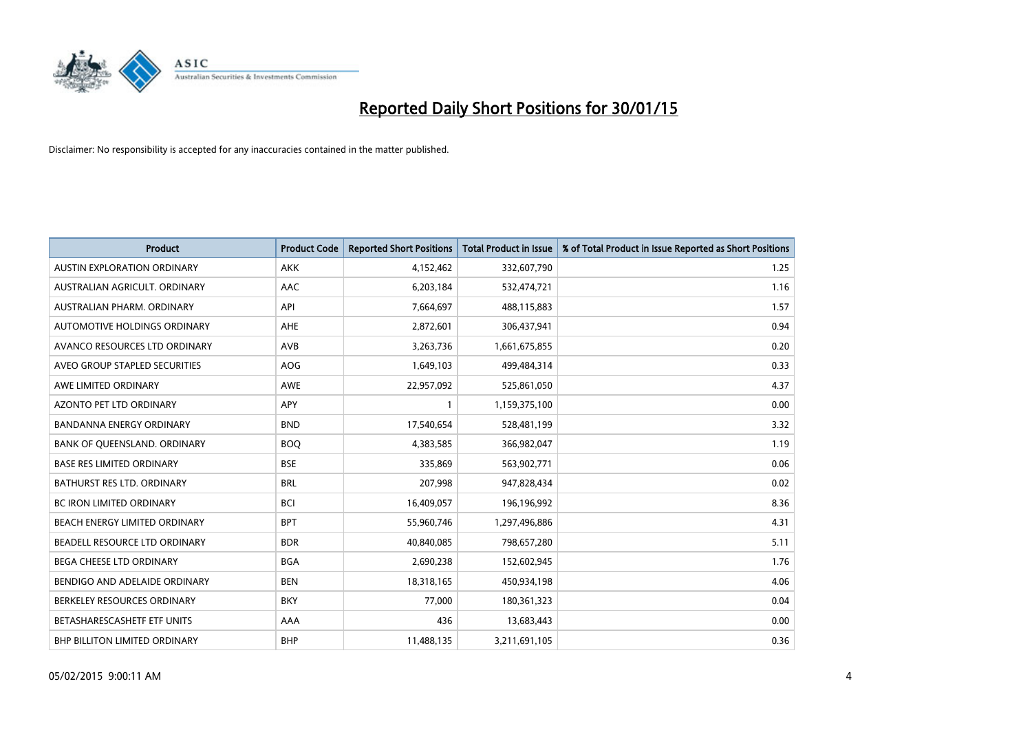

| <b>Product</b>                      | <b>Product Code</b> | <b>Reported Short Positions</b> | <b>Total Product in Issue</b> | % of Total Product in Issue Reported as Short Positions |
|-------------------------------------|---------------------|---------------------------------|-------------------------------|---------------------------------------------------------|
| AUSTIN EXPLORATION ORDINARY         | <b>AKK</b>          | 4,152,462                       | 332,607,790                   | 1.25                                                    |
| AUSTRALIAN AGRICULT. ORDINARY       | AAC                 | 6,203,184                       | 532,474,721                   | 1.16                                                    |
| AUSTRALIAN PHARM, ORDINARY          | API                 | 7,664,697                       | 488,115,883                   | 1.57                                                    |
| AUTOMOTIVE HOLDINGS ORDINARY        | AHE                 | 2,872,601                       | 306,437,941                   | 0.94                                                    |
| AVANCO RESOURCES LTD ORDINARY       | AVB                 | 3,263,736                       | 1,661,675,855                 | 0.20                                                    |
| AVEO GROUP STAPLED SECURITIES       | AOG                 | 1,649,103                       | 499,484,314                   | 0.33                                                    |
| AWE LIMITED ORDINARY                | <b>AWE</b>          | 22,957,092                      | 525,861,050                   | 4.37                                                    |
| <b>AZONTO PET LTD ORDINARY</b>      | APY                 | 1                               | 1,159,375,100                 | 0.00                                                    |
| <b>BANDANNA ENERGY ORDINARY</b>     | <b>BND</b>          | 17,540,654                      | 528,481,199                   | 3.32                                                    |
| <b>BANK OF OUEENSLAND, ORDINARY</b> | <b>BOQ</b>          | 4,383,585                       | 366,982,047                   | 1.19                                                    |
| <b>BASE RES LIMITED ORDINARY</b>    | <b>BSE</b>          | 335,869                         | 563,902,771                   | 0.06                                                    |
| <b>BATHURST RES LTD. ORDINARY</b>   | <b>BRL</b>          | 207,998                         | 947,828,434                   | 0.02                                                    |
| BC IRON LIMITED ORDINARY            | <b>BCI</b>          | 16,409,057                      | 196,196,992                   | 8.36                                                    |
| BEACH ENERGY LIMITED ORDINARY       | <b>BPT</b>          | 55,960,746                      | 1,297,496,886                 | 4.31                                                    |
| BEADELL RESOURCE LTD ORDINARY       | <b>BDR</b>          | 40,840,085                      | 798,657,280                   | 5.11                                                    |
| BEGA CHEESE LTD ORDINARY            | <b>BGA</b>          | 2,690,238                       | 152,602,945                   | 1.76                                                    |
| BENDIGO AND ADELAIDE ORDINARY       | <b>BEN</b>          | 18,318,165                      | 450,934,198                   | 4.06                                                    |
| BERKELEY RESOURCES ORDINARY         | <b>BKY</b>          | 77,000                          | 180,361,323                   | 0.04                                                    |
| BETASHARESCASHETF ETF UNITS         | AAA                 | 436                             | 13,683,443                    | 0.00                                                    |
| BHP BILLITON LIMITED ORDINARY       | <b>BHP</b>          | 11,488,135                      | 3,211,691,105                 | 0.36                                                    |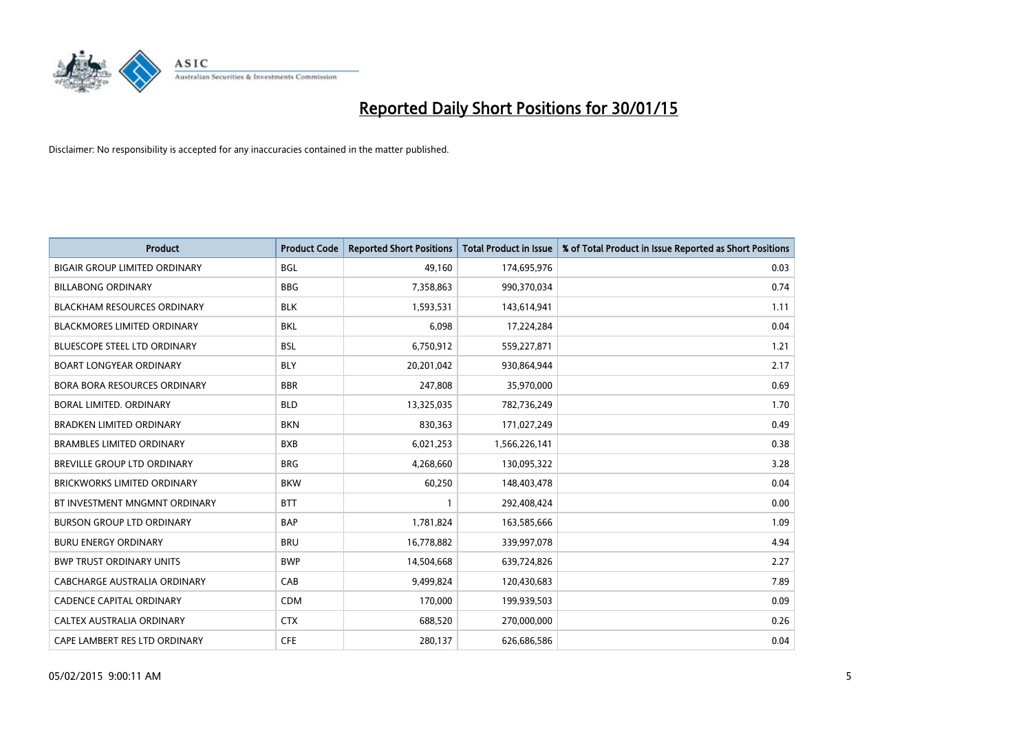

| Product                              | <b>Product Code</b> | <b>Reported Short Positions</b> | <b>Total Product in Issue</b> | % of Total Product in Issue Reported as Short Positions |
|--------------------------------------|---------------------|---------------------------------|-------------------------------|---------------------------------------------------------|
| <b>BIGAIR GROUP LIMITED ORDINARY</b> | <b>BGL</b>          | 49,160                          | 174,695,976                   | 0.03                                                    |
| <b>BILLABONG ORDINARY</b>            | <b>BBG</b>          | 7,358,863                       | 990,370,034                   | 0.74                                                    |
| <b>BLACKHAM RESOURCES ORDINARY</b>   | <b>BLK</b>          | 1,593,531                       | 143,614,941                   | 1.11                                                    |
| BLACKMORES LIMITED ORDINARY          | <b>BKL</b>          | 6,098                           | 17,224,284                    | 0.04                                                    |
| <b>BLUESCOPE STEEL LTD ORDINARY</b>  | <b>BSL</b>          | 6,750,912                       | 559,227,871                   | 1.21                                                    |
| <b>BOART LONGYEAR ORDINARY</b>       | <b>BLY</b>          | 20,201,042                      | 930,864,944                   | 2.17                                                    |
| <b>BORA BORA RESOURCES ORDINARY</b>  | <b>BBR</b>          | 247,808                         | 35,970,000                    | 0.69                                                    |
| <b>BORAL LIMITED, ORDINARY</b>       | <b>BLD</b>          | 13,325,035                      | 782,736,249                   | 1.70                                                    |
| <b>BRADKEN LIMITED ORDINARY</b>      | <b>BKN</b>          | 830,363                         | 171,027,249                   | 0.49                                                    |
| <b>BRAMBLES LIMITED ORDINARY</b>     | <b>BXB</b>          | 6,021,253                       | 1,566,226,141                 | 0.38                                                    |
| BREVILLE GROUP LTD ORDINARY          | <b>BRG</b>          | 4,268,660                       | 130,095,322                   | 3.28                                                    |
| <b>BRICKWORKS LIMITED ORDINARY</b>   | <b>BKW</b>          | 60,250                          | 148,403,478                   | 0.04                                                    |
| BT INVESTMENT MNGMNT ORDINARY        | <b>BTT</b>          | $\mathbf{1}$                    | 292,408,424                   | 0.00                                                    |
| <b>BURSON GROUP LTD ORDINARY</b>     | <b>BAP</b>          | 1,781,824                       | 163,585,666                   | 1.09                                                    |
| <b>BURU ENERGY ORDINARY</b>          | <b>BRU</b>          | 16,778,882                      | 339,997,078                   | 4.94                                                    |
| <b>BWP TRUST ORDINARY UNITS</b>      | <b>BWP</b>          | 14,504,668                      | 639,724,826                   | 2.27                                                    |
| CABCHARGE AUSTRALIA ORDINARY         | CAB                 | 9,499,824                       | 120,430,683                   | 7.89                                                    |
| <b>CADENCE CAPITAL ORDINARY</b>      | <b>CDM</b>          | 170,000                         | 199,939,503                   | 0.09                                                    |
| CALTEX AUSTRALIA ORDINARY            | <b>CTX</b>          | 688,520                         | 270,000,000                   | 0.26                                                    |
| CAPE LAMBERT RES LTD ORDINARY        | <b>CFE</b>          | 280,137                         | 626,686,586                   | 0.04                                                    |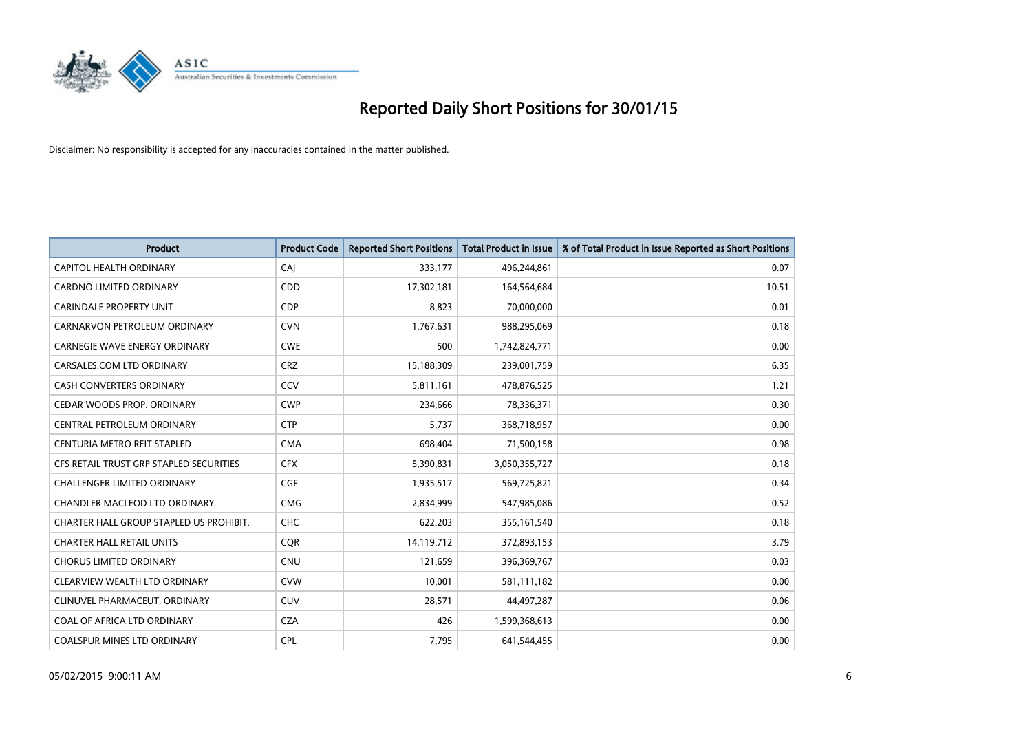

| <b>Product</b>                          | <b>Product Code</b> | <b>Reported Short Positions</b> | <b>Total Product in Issue</b> | % of Total Product in Issue Reported as Short Positions |
|-----------------------------------------|---------------------|---------------------------------|-------------------------------|---------------------------------------------------------|
| <b>CAPITOL HEALTH ORDINARY</b>          | CAJ                 | 333,177                         | 496,244,861                   | 0.07                                                    |
| CARDNO LIMITED ORDINARY                 | <b>CDD</b>          | 17,302,181                      | 164,564,684                   | 10.51                                                   |
| <b>CARINDALE PROPERTY UNIT</b>          | <b>CDP</b>          | 8,823                           | 70,000,000                    | 0.01                                                    |
| CARNARVON PETROLEUM ORDINARY            | <b>CVN</b>          | 1,767,631                       | 988,295,069                   | 0.18                                                    |
| <b>CARNEGIE WAVE ENERGY ORDINARY</b>    | <b>CWE</b>          | 500                             | 1,742,824,771                 | 0.00                                                    |
| CARSALES.COM LTD ORDINARY               | <b>CRZ</b>          | 15,188,309                      | 239,001,759                   | 6.35                                                    |
| <b>CASH CONVERTERS ORDINARY</b>         | CCV                 | 5,811,161                       | 478,876,525                   | 1.21                                                    |
| CEDAR WOODS PROP. ORDINARY              | <b>CWP</b>          | 234,666                         | 78,336,371                    | 0.30                                                    |
| CENTRAL PETROLEUM ORDINARY              | <b>CTP</b>          | 5,737                           | 368,718,957                   | 0.00                                                    |
| CENTURIA METRO REIT STAPLED             | <b>CMA</b>          | 698,404                         | 71,500,158                    | 0.98                                                    |
| CFS RETAIL TRUST GRP STAPLED SECURITIES | <b>CFX</b>          | 5,390,831                       | 3,050,355,727                 | 0.18                                                    |
| <b>CHALLENGER LIMITED ORDINARY</b>      | <b>CGF</b>          | 1,935,517                       | 569,725,821                   | 0.34                                                    |
| CHANDLER MACLEOD LTD ORDINARY           | <b>CMG</b>          | 2,834,999                       | 547,985,086                   | 0.52                                                    |
| CHARTER HALL GROUP STAPLED US PROHIBIT. | <b>CHC</b>          | 622,203                         | 355,161,540                   | 0.18                                                    |
| <b>CHARTER HALL RETAIL UNITS</b>        | CQR                 | 14,119,712                      | 372,893,153                   | 3.79                                                    |
| <b>CHORUS LIMITED ORDINARY</b>          | <b>CNU</b>          | 121,659                         | 396,369,767                   | 0.03                                                    |
| CLEARVIEW WEALTH LTD ORDINARY           | <b>CVW</b>          | 10,001                          | 581,111,182                   | 0.00                                                    |
| CLINUVEL PHARMACEUT. ORDINARY           | <b>CUV</b>          | 28,571                          | 44,497,287                    | 0.06                                                    |
| COAL OF AFRICA LTD ORDINARY             | <b>CZA</b>          | 426                             | 1,599,368,613                 | 0.00                                                    |
| COALSPUR MINES LTD ORDINARY             | <b>CPL</b>          | 7,795                           | 641,544,455                   | 0.00                                                    |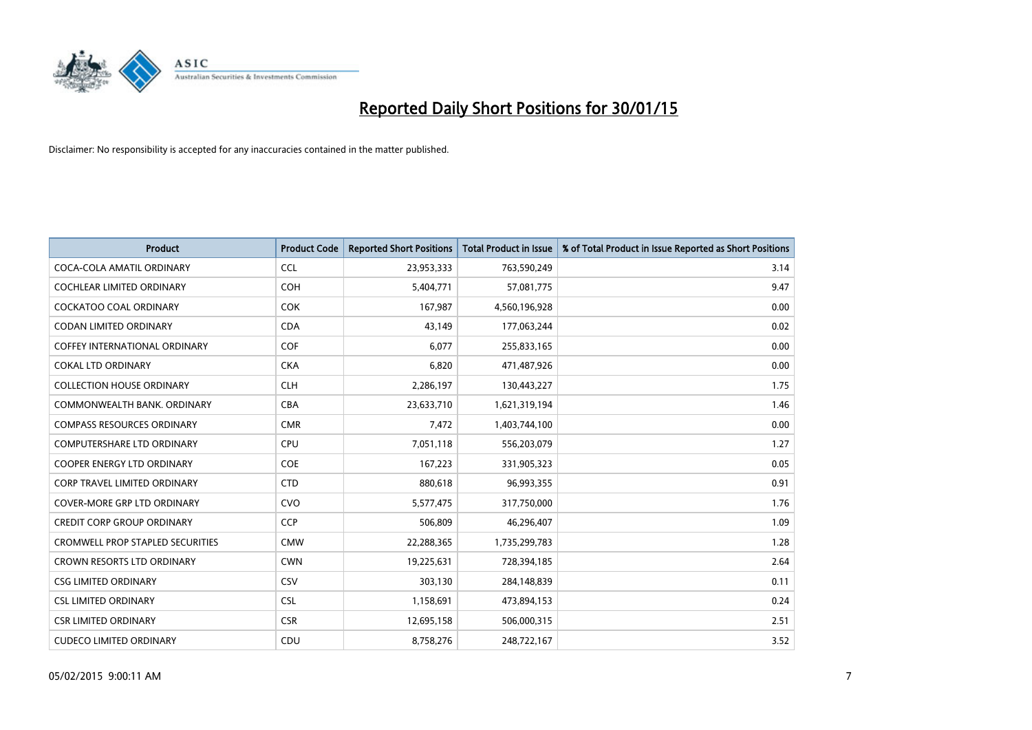

| <b>Product</b>                          | <b>Product Code</b> | <b>Reported Short Positions</b> | <b>Total Product in Issue</b> | % of Total Product in Issue Reported as Short Positions |
|-----------------------------------------|---------------------|---------------------------------|-------------------------------|---------------------------------------------------------|
| COCA-COLA AMATIL ORDINARY               | <b>CCL</b>          | 23,953,333                      | 763,590,249                   | 3.14                                                    |
| <b>COCHLEAR LIMITED ORDINARY</b>        | <b>COH</b>          | 5,404,771                       | 57,081,775                    | 9.47                                                    |
| COCKATOO COAL ORDINARY                  | <b>COK</b>          | 167,987                         | 4,560,196,928                 | 0.00                                                    |
| <b>CODAN LIMITED ORDINARY</b>           | <b>CDA</b>          | 43,149                          | 177,063,244                   | 0.02                                                    |
| COFFEY INTERNATIONAL ORDINARY           | <b>COF</b>          | 6,077                           | 255,833,165                   | 0.00                                                    |
| <b>COKAL LTD ORDINARY</b>               | <b>CKA</b>          | 6,820                           | 471,487,926                   | 0.00                                                    |
| <b>COLLECTION HOUSE ORDINARY</b>        | <b>CLH</b>          | 2,286,197                       | 130,443,227                   | 1.75                                                    |
| COMMONWEALTH BANK, ORDINARY             | <b>CBA</b>          | 23,633,710                      | 1,621,319,194                 | 1.46                                                    |
| <b>COMPASS RESOURCES ORDINARY</b>       | <b>CMR</b>          | 7,472                           | 1,403,744,100                 | 0.00                                                    |
| <b>COMPUTERSHARE LTD ORDINARY</b>       | <b>CPU</b>          | 7,051,118                       | 556,203,079                   | 1.27                                                    |
| COOPER ENERGY LTD ORDINARY              | <b>COE</b>          | 167,223                         | 331,905,323                   | 0.05                                                    |
| <b>CORP TRAVEL LIMITED ORDINARY</b>     | <b>CTD</b>          | 880,618                         | 96,993,355                    | 0.91                                                    |
| <b>COVER-MORE GRP LTD ORDINARY</b>      | <b>CVO</b>          | 5,577,475                       | 317,750,000                   | 1.76                                                    |
| <b>CREDIT CORP GROUP ORDINARY</b>       | CCP                 | 506,809                         | 46,296,407                    | 1.09                                                    |
| <b>CROMWELL PROP STAPLED SECURITIES</b> | <b>CMW</b>          | 22,288,365                      | 1,735,299,783                 | 1.28                                                    |
| <b>CROWN RESORTS LTD ORDINARY</b>       | <b>CWN</b>          | 19,225,631                      | 728,394,185                   | 2.64                                                    |
| <b>CSG LIMITED ORDINARY</b>             | CSV                 | 303,130                         | 284,148,839                   | 0.11                                                    |
| <b>CSL LIMITED ORDINARY</b>             | <b>CSL</b>          | 1,158,691                       | 473,894,153                   | 0.24                                                    |
| <b>CSR LIMITED ORDINARY</b>             | <b>CSR</b>          | 12,695,158                      | 506,000,315                   | 2.51                                                    |
| <b>CUDECO LIMITED ORDINARY</b>          | CDU                 | 8,758,276                       | 248,722,167                   | 3.52                                                    |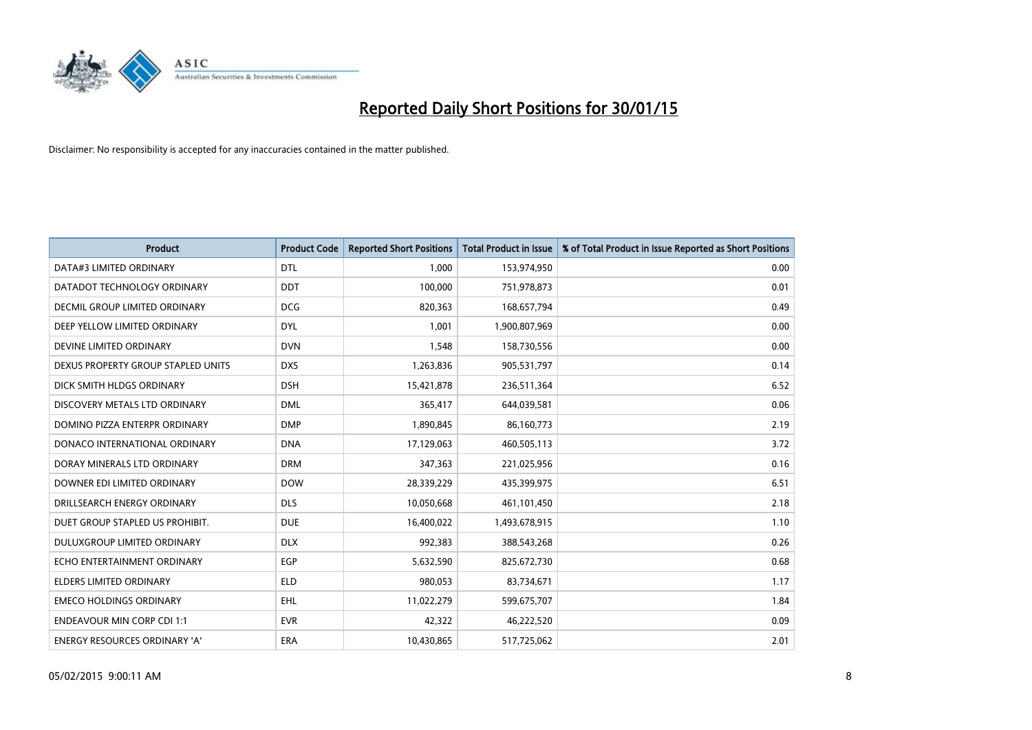

| <b>Product</b>                     | <b>Product Code</b> | <b>Reported Short Positions</b> | <b>Total Product in Issue</b> | % of Total Product in Issue Reported as Short Positions |
|------------------------------------|---------------------|---------------------------------|-------------------------------|---------------------------------------------------------|
| DATA#3 LIMITED ORDINARY            | <b>DTL</b>          | 1.000                           | 153,974,950                   | 0.00                                                    |
| DATADOT TECHNOLOGY ORDINARY        | <b>DDT</b>          | 100,000                         | 751,978,873                   | 0.01                                                    |
| DECMIL GROUP LIMITED ORDINARY      | <b>DCG</b>          | 820,363                         | 168,657,794                   | 0.49                                                    |
| DEEP YELLOW LIMITED ORDINARY       | <b>DYL</b>          | 1,001                           | 1,900,807,969                 | 0.00                                                    |
| DEVINE LIMITED ORDINARY            | <b>DVN</b>          | 1,548                           | 158,730,556                   | 0.00                                                    |
| DEXUS PROPERTY GROUP STAPLED UNITS | <b>DXS</b>          | 1,263,836                       | 905,531,797                   | 0.14                                                    |
| DICK SMITH HLDGS ORDINARY          | <b>DSH</b>          | 15,421,878                      | 236,511,364                   | 6.52                                                    |
| DISCOVERY METALS LTD ORDINARY      | <b>DML</b>          | 365.417                         | 644,039,581                   | 0.06                                                    |
| DOMINO PIZZA ENTERPR ORDINARY      | <b>DMP</b>          | 1,890,845                       | 86,160,773                    | 2.19                                                    |
| DONACO INTERNATIONAL ORDINARY      | <b>DNA</b>          | 17,129,063                      | 460,505,113                   | 3.72                                                    |
| DORAY MINERALS LTD ORDINARY        | <b>DRM</b>          | 347,363                         | 221,025,956                   | 0.16                                                    |
| DOWNER EDI LIMITED ORDINARY        | <b>DOW</b>          | 28,339,229                      | 435,399,975                   | 6.51                                                    |
| DRILLSEARCH ENERGY ORDINARY        | <b>DLS</b>          | 10,050,668                      | 461,101,450                   | 2.18                                                    |
| DUET GROUP STAPLED US PROHIBIT.    | <b>DUE</b>          | 16,400,022                      | 1,493,678,915                 | 1.10                                                    |
| DULUXGROUP LIMITED ORDINARY        | <b>DLX</b>          | 992,383                         | 388,543,268                   | 0.26                                                    |
| ECHO ENTERTAINMENT ORDINARY        | <b>EGP</b>          | 5,632,590                       | 825,672,730                   | 0.68                                                    |
| ELDERS LIMITED ORDINARY            | ELD                 | 980,053                         | 83,734,671                    | 1.17                                                    |
| <b>EMECO HOLDINGS ORDINARY</b>     | <b>EHL</b>          | 11,022,279                      | 599,675,707                   | 1.84                                                    |
| <b>ENDEAVOUR MIN CORP CDI 1:1</b>  | <b>EVR</b>          | 42,322                          | 46,222,520                    | 0.09                                                    |
| ENERGY RESOURCES ORDINARY 'A'      | ERA                 | 10,430,865                      | 517,725,062                   | 2.01                                                    |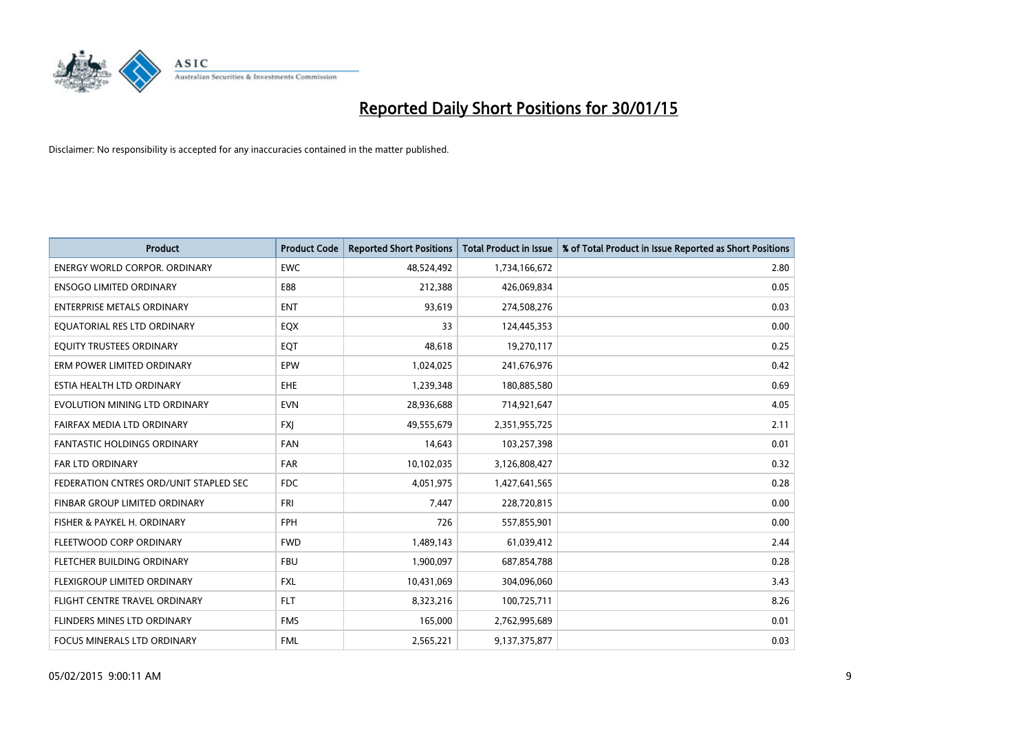

| <b>Product</b>                         | <b>Product Code</b> | <b>Reported Short Positions</b> | <b>Total Product in Issue</b> | % of Total Product in Issue Reported as Short Positions |
|----------------------------------------|---------------------|---------------------------------|-------------------------------|---------------------------------------------------------|
| <b>ENERGY WORLD CORPOR, ORDINARY</b>   | <b>EWC</b>          | 48,524,492                      | 1,734,166,672                 | 2.80                                                    |
| <b>ENSOGO LIMITED ORDINARY</b>         | E88                 | 212,388                         | 426,069,834                   | 0.05                                                    |
| <b>ENTERPRISE METALS ORDINARY</b>      | <b>ENT</b>          | 93,619                          | 274,508,276                   | 0.03                                                    |
| EQUATORIAL RES LTD ORDINARY            | EQX                 | 33                              | 124,445,353                   | 0.00                                                    |
| EQUITY TRUSTEES ORDINARY               | EQT                 | 48,618                          | 19,270,117                    | 0.25                                                    |
| ERM POWER LIMITED ORDINARY             | EPW                 | 1,024,025                       | 241,676,976                   | 0.42                                                    |
| ESTIA HEALTH LTD ORDINARY              | <b>EHE</b>          | 1,239,348                       | 180,885,580                   | 0.69                                                    |
| EVOLUTION MINING LTD ORDINARY          | <b>EVN</b>          | 28,936,688                      | 714,921,647                   | 4.05                                                    |
| FAIRFAX MEDIA LTD ORDINARY             | <b>FXI</b>          | 49,555,679                      | 2,351,955,725                 | 2.11                                                    |
| <b>FANTASTIC HOLDINGS ORDINARY</b>     | <b>FAN</b>          | 14,643                          | 103,257,398                   | 0.01                                                    |
| FAR LTD ORDINARY                       | <b>FAR</b>          | 10,102,035                      | 3,126,808,427                 | 0.32                                                    |
| FEDERATION CNTRES ORD/UNIT STAPLED SEC | <b>FDC</b>          | 4,051,975                       | 1,427,641,565                 | 0.28                                                    |
| FINBAR GROUP LIMITED ORDINARY          | <b>FRI</b>          | 7,447                           | 228,720,815                   | 0.00                                                    |
| FISHER & PAYKEL H. ORDINARY            | <b>FPH</b>          | 726                             | 557,855,901                   | 0.00                                                    |
| FLEETWOOD CORP ORDINARY                | <b>FWD</b>          | 1,489,143                       | 61,039,412                    | 2.44                                                    |
| FLETCHER BUILDING ORDINARY             | <b>FBU</b>          | 1,900,097                       | 687,854,788                   | 0.28                                                    |
| FLEXIGROUP LIMITED ORDINARY            | FXL                 | 10,431,069                      | 304,096,060                   | 3.43                                                    |
| FLIGHT CENTRE TRAVEL ORDINARY          | <b>FLT</b>          | 8,323,216                       | 100,725,711                   | 8.26                                                    |
| FLINDERS MINES LTD ORDINARY            | <b>FMS</b>          | 165,000                         | 2,762,995,689                 | 0.01                                                    |
| <b>FOCUS MINERALS LTD ORDINARY</b>     | <b>FML</b>          | 2,565,221                       | 9,137,375,877                 | 0.03                                                    |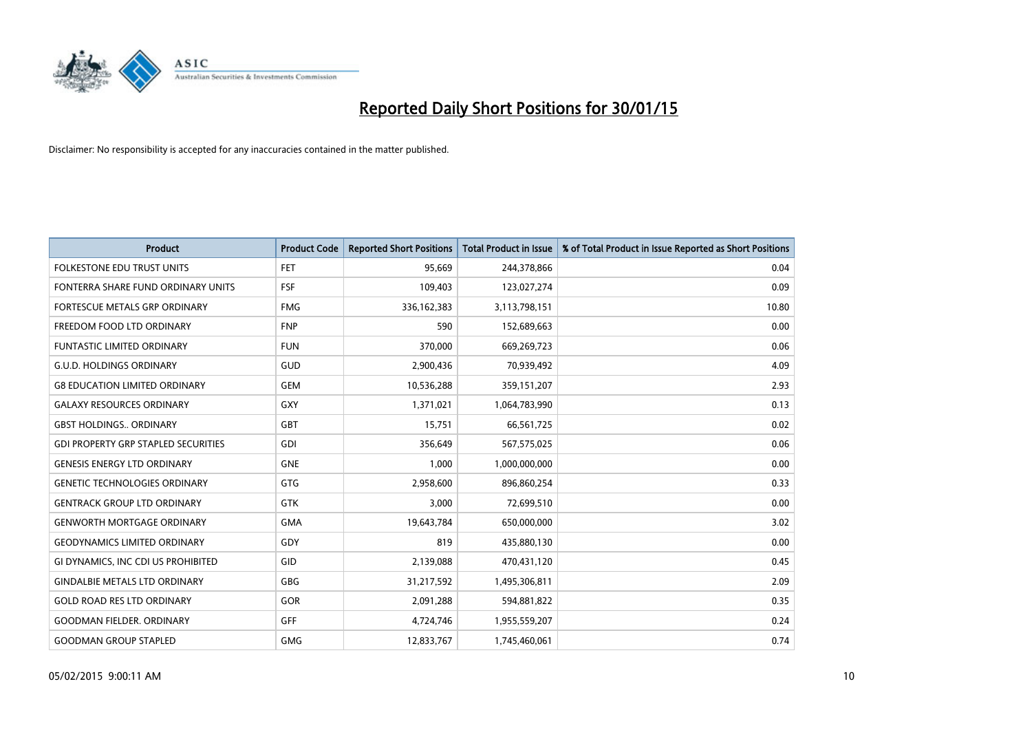

| <b>Product</b>                             | <b>Product Code</b> | <b>Reported Short Positions</b> | <b>Total Product in Issue</b> | % of Total Product in Issue Reported as Short Positions |
|--------------------------------------------|---------------------|---------------------------------|-------------------------------|---------------------------------------------------------|
| <b>FOLKESTONE EDU TRUST UNITS</b>          | <b>FET</b>          | 95,669                          | 244,378,866                   | 0.04                                                    |
| FONTERRA SHARE FUND ORDINARY UNITS         | <b>FSF</b>          | 109,403                         | 123,027,274                   | 0.09                                                    |
| <b>FORTESCUE METALS GRP ORDINARY</b>       | <b>FMG</b>          | 336, 162, 383                   | 3,113,798,151                 | 10.80                                                   |
| FREEDOM FOOD LTD ORDINARY                  | <b>FNP</b>          | 590                             | 152,689,663                   | 0.00                                                    |
| <b>FUNTASTIC LIMITED ORDINARY</b>          | <b>FUN</b>          | 370,000                         | 669,269,723                   | 0.06                                                    |
| <b>G.U.D. HOLDINGS ORDINARY</b>            | <b>GUD</b>          | 2,900,436                       | 70,939,492                    | 4.09                                                    |
| <b>G8 EDUCATION LIMITED ORDINARY</b>       | <b>GEM</b>          | 10,536,288                      | 359,151,207                   | 2.93                                                    |
| <b>GALAXY RESOURCES ORDINARY</b>           | GXY                 | 1,371,021                       | 1,064,783,990                 | 0.13                                                    |
| <b>GBST HOLDINGS., ORDINARY</b>            | GBT                 | 15,751                          | 66,561,725                    | 0.02                                                    |
| <b>GDI PROPERTY GRP STAPLED SECURITIES</b> | GDI                 | 356,649                         | 567,575,025                   | 0.06                                                    |
| <b>GENESIS ENERGY LTD ORDINARY</b>         | <b>GNE</b>          | 1,000                           | 1,000,000,000                 | 0.00                                                    |
| <b>GENETIC TECHNOLOGIES ORDINARY</b>       | GTG                 | 2,958,600                       | 896,860,254                   | 0.33                                                    |
| <b>GENTRACK GROUP LTD ORDINARY</b>         | <b>GTK</b>          | 3,000                           | 72,699,510                    | 0.00                                                    |
| <b>GENWORTH MORTGAGE ORDINARY</b>          | <b>GMA</b>          | 19,643,784                      | 650,000,000                   | 3.02                                                    |
| <b>GEODYNAMICS LIMITED ORDINARY</b>        | GDY                 | 819                             | 435,880,130                   | 0.00                                                    |
| GI DYNAMICS, INC CDI US PROHIBITED         | GID                 | 2,139,088                       | 470,431,120                   | 0.45                                                    |
| <b>GINDALBIE METALS LTD ORDINARY</b>       | GBG                 | 31,217,592                      | 1,495,306,811                 | 2.09                                                    |
| <b>GOLD ROAD RES LTD ORDINARY</b>          | GOR                 | 2,091,288                       | 594,881,822                   | 0.35                                                    |
| <b>GOODMAN FIELDER, ORDINARY</b>           | GFF                 | 4,724,746                       | 1,955,559,207                 | 0.24                                                    |
| <b>GOODMAN GROUP STAPLED</b>               | <b>GMG</b>          | 12,833,767                      | 1,745,460,061                 | 0.74                                                    |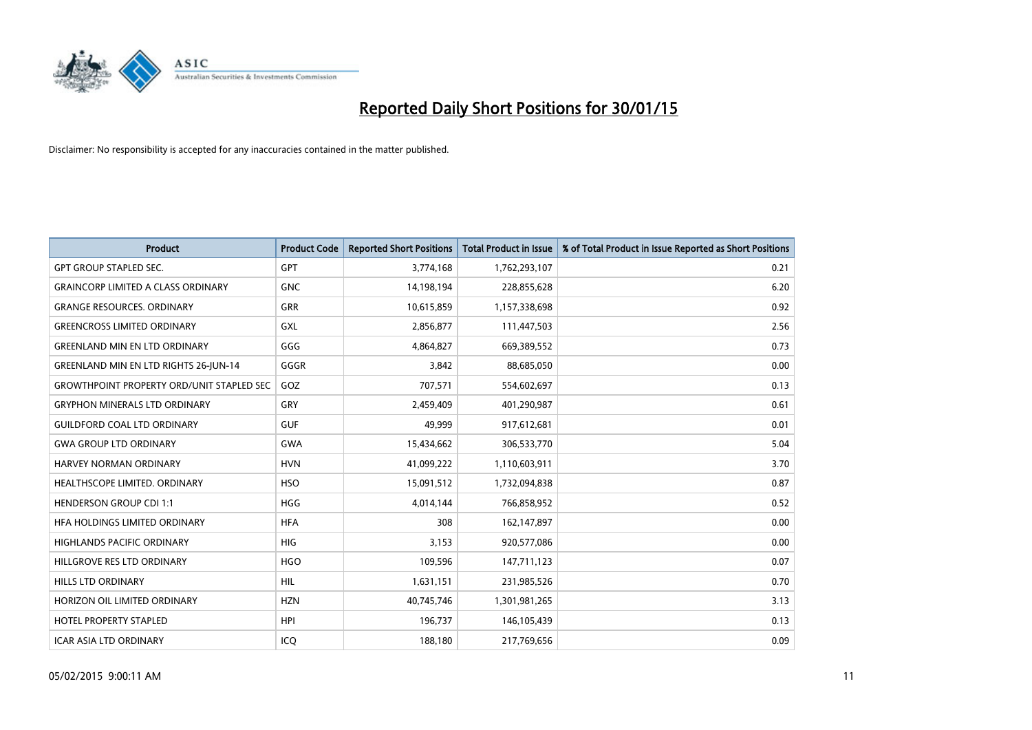

| <b>Product</b>                                   | <b>Product Code</b> | <b>Reported Short Positions</b> | <b>Total Product in Issue</b> | % of Total Product in Issue Reported as Short Positions |
|--------------------------------------------------|---------------------|---------------------------------|-------------------------------|---------------------------------------------------------|
| <b>GPT GROUP STAPLED SEC.</b>                    | GPT                 | 3,774,168                       | 1,762,293,107                 | 0.21                                                    |
| <b>GRAINCORP LIMITED A CLASS ORDINARY</b>        | <b>GNC</b>          | 14,198,194                      | 228,855,628                   | 6.20                                                    |
| <b>GRANGE RESOURCES, ORDINARY</b>                | <b>GRR</b>          | 10,615,859                      | 1,157,338,698                 | 0.92                                                    |
| <b>GREENCROSS LIMITED ORDINARY</b>               | <b>GXL</b>          | 2,856,877                       | 111,447,503                   | 2.56                                                    |
| <b>GREENLAND MIN EN LTD ORDINARY</b>             | GGG                 | 4,864,827                       | 669,389,552                   | 0.73                                                    |
| <b>GREENLAND MIN EN LTD RIGHTS 26-JUN-14</b>     | GGGR                | 3,842                           | 88,685,050                    | 0.00                                                    |
| <b>GROWTHPOINT PROPERTY ORD/UNIT STAPLED SEC</b> | GOZ                 | 707,571                         | 554,602,697                   | 0.13                                                    |
| <b>GRYPHON MINERALS LTD ORDINARY</b>             | GRY                 | 2,459,409                       | 401,290,987                   | 0.61                                                    |
| <b>GUILDFORD COAL LTD ORDINARY</b>               | <b>GUF</b>          | 49,999                          | 917,612,681                   | 0.01                                                    |
| <b>GWA GROUP LTD ORDINARY</b>                    | <b>GWA</b>          | 15,434,662                      | 306,533,770                   | 5.04                                                    |
| HARVEY NORMAN ORDINARY                           | <b>HVN</b>          | 41,099,222                      | 1,110,603,911                 | 3.70                                                    |
| HEALTHSCOPE LIMITED. ORDINARY                    | <b>HSO</b>          | 15,091,512                      | 1,732,094,838                 | 0.87                                                    |
| <b>HENDERSON GROUP CDI 1:1</b>                   | <b>HGG</b>          | 4,014,144                       | 766,858,952                   | 0.52                                                    |
| HFA HOLDINGS LIMITED ORDINARY                    | <b>HFA</b>          | 308                             | 162,147,897                   | 0.00                                                    |
| HIGHLANDS PACIFIC ORDINARY                       | <b>HIG</b>          | 3,153                           | 920,577,086                   | 0.00                                                    |
| HILLGROVE RES LTD ORDINARY                       | <b>HGO</b>          | 109,596                         | 147,711,123                   | 0.07                                                    |
| HILLS LTD ORDINARY                               | <b>HIL</b>          | 1,631,151                       | 231,985,526                   | 0.70                                                    |
| HORIZON OIL LIMITED ORDINARY                     | <b>HZN</b>          | 40,745,746                      | 1,301,981,265                 | 3.13                                                    |
| <b>HOTEL PROPERTY STAPLED</b>                    | <b>HPI</b>          | 196,737                         | 146, 105, 439                 | 0.13                                                    |
| <b>ICAR ASIA LTD ORDINARY</b>                    | ICO                 | 188,180                         | 217,769,656                   | 0.09                                                    |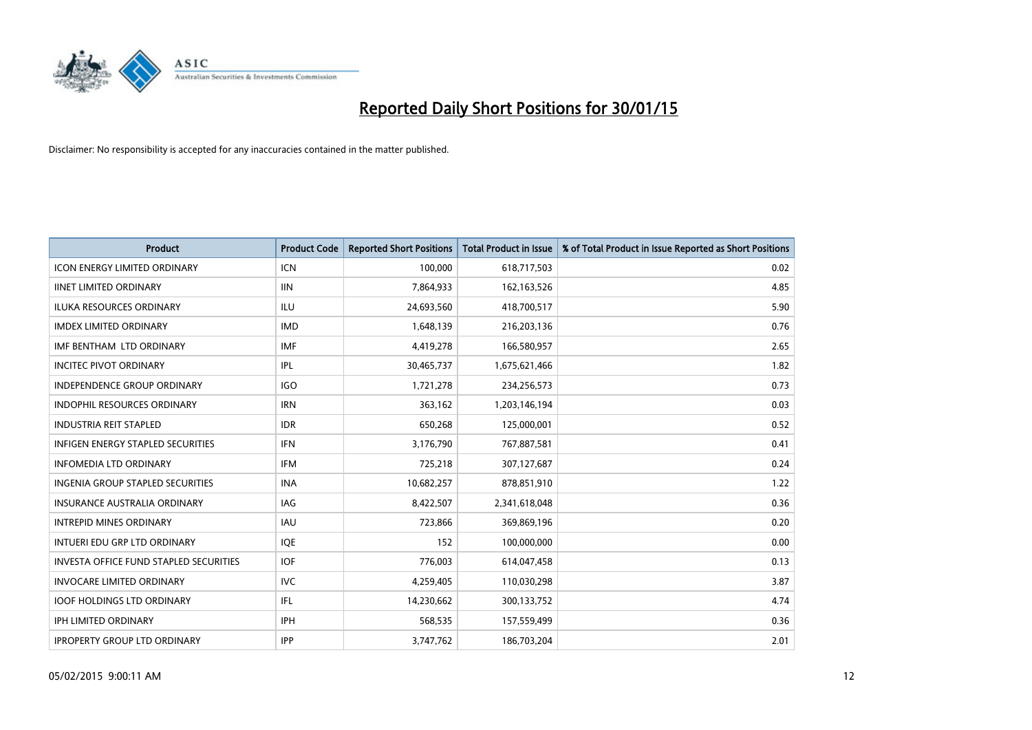

| <b>Product</b>                                | <b>Product Code</b> | <b>Reported Short Positions</b> | <b>Total Product in Issue</b> | % of Total Product in Issue Reported as Short Positions |
|-----------------------------------------------|---------------------|---------------------------------|-------------------------------|---------------------------------------------------------|
| <b>ICON ENERGY LIMITED ORDINARY</b>           | <b>ICN</b>          | 100,000                         | 618,717,503                   | 0.02                                                    |
| <b>IINET LIMITED ORDINARY</b>                 | <b>IIN</b>          | 7,864,933                       | 162,163,526                   | 4.85                                                    |
| <b>ILUKA RESOURCES ORDINARY</b>               | ILU                 | 24,693,560                      | 418,700,517                   | 5.90                                                    |
| <b>IMDEX LIMITED ORDINARY</b>                 | <b>IMD</b>          | 1,648,139                       | 216,203,136                   | 0.76                                                    |
| IMF BENTHAM LTD ORDINARY                      | <b>IMF</b>          | 4,419,278                       | 166,580,957                   | 2.65                                                    |
| <b>INCITEC PIVOT ORDINARY</b>                 | IPL                 | 30,465,737                      | 1,675,621,466                 | 1.82                                                    |
| <b>INDEPENDENCE GROUP ORDINARY</b>            | <b>IGO</b>          | 1,721,278                       | 234,256,573                   | 0.73                                                    |
| INDOPHIL RESOURCES ORDINARY                   | <b>IRN</b>          | 363,162                         | 1,203,146,194                 | 0.03                                                    |
| <b>INDUSTRIA REIT STAPLED</b>                 | <b>IDR</b>          | 650,268                         | 125,000,001                   | 0.52                                                    |
| <b>INFIGEN ENERGY STAPLED SECURITIES</b>      | IFN                 | 3,176,790                       | 767,887,581                   | 0.41                                                    |
| <b>INFOMEDIA LTD ORDINARY</b>                 | IFM                 | 725,218                         | 307,127,687                   | 0.24                                                    |
| <b>INGENIA GROUP STAPLED SECURITIES</b>       | <b>INA</b>          | 10,682,257                      | 878,851,910                   | 1.22                                                    |
| <b>INSURANCE AUSTRALIA ORDINARY</b>           | IAG                 | 8,422,507                       | 2,341,618,048                 | 0.36                                                    |
| <b>INTREPID MINES ORDINARY</b>                | <b>IAU</b>          | 723,866                         | 369,869,196                   | 0.20                                                    |
| INTUERI EDU GRP LTD ORDINARY                  | IQE                 | 152                             | 100,000,000                   | 0.00                                                    |
| <b>INVESTA OFFICE FUND STAPLED SECURITIES</b> | <b>IOF</b>          | 776,003                         | 614,047,458                   | 0.13                                                    |
| <b>INVOCARE LIMITED ORDINARY</b>              | <b>IVC</b>          | 4,259,405                       | 110,030,298                   | 3.87                                                    |
| <b>IOOF HOLDINGS LTD ORDINARY</b>             | IFL                 | 14,230,662                      | 300,133,752                   | 4.74                                                    |
| <b>IPH LIMITED ORDINARY</b>                   | <b>IPH</b>          | 568,535                         | 157,559,499                   | 0.36                                                    |
| <b>IPROPERTY GROUP LTD ORDINARY</b>           | <b>IPP</b>          | 3,747,762                       | 186,703,204                   | 2.01                                                    |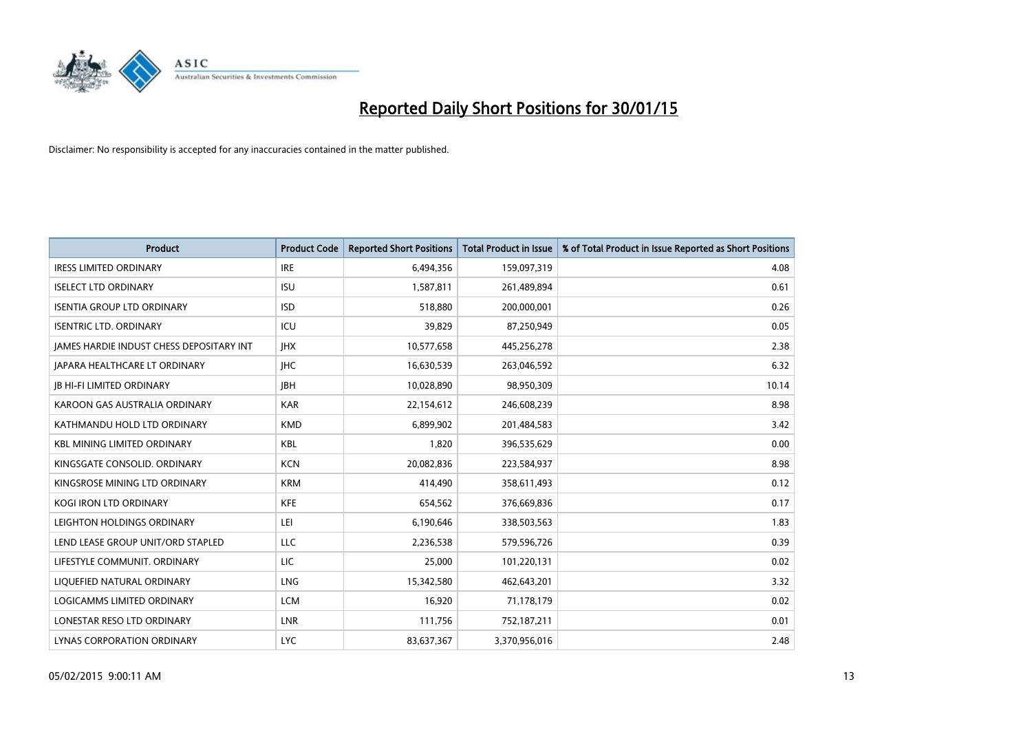

| Product                                         | <b>Product Code</b> | <b>Reported Short Positions</b> | <b>Total Product in Issue</b> | % of Total Product in Issue Reported as Short Positions |
|-------------------------------------------------|---------------------|---------------------------------|-------------------------------|---------------------------------------------------------|
| <b>IRESS LIMITED ORDINARY</b>                   | <b>IRE</b>          | 6,494,356                       | 159,097,319                   | 4.08                                                    |
| <b>ISELECT LTD ORDINARY</b>                     | <b>ISU</b>          | 1,587,811                       | 261,489,894                   | 0.61                                                    |
| <b>ISENTIA GROUP LTD ORDINARY</b>               | <b>ISD</b>          | 518,880                         | 200,000,001                   | 0.26                                                    |
| <b>ISENTRIC LTD. ORDINARY</b>                   | ICU                 | 39,829                          | 87,250,949                    | 0.05                                                    |
| <b>JAMES HARDIE INDUST CHESS DEPOSITARY INT</b> | <b>IHX</b>          | 10,577,658                      | 445,256,278                   | 2.38                                                    |
| JAPARA HEALTHCARE LT ORDINARY                   | <b>IHC</b>          | 16,630,539                      | 263,046,592                   | 6.32                                                    |
| <b>JB HI-FI LIMITED ORDINARY</b>                | <b>JBH</b>          | 10,028,890                      | 98,950,309                    | 10.14                                                   |
| KAROON GAS AUSTRALIA ORDINARY                   | <b>KAR</b>          | 22,154,612                      | 246,608,239                   | 8.98                                                    |
| KATHMANDU HOLD LTD ORDINARY                     | <b>KMD</b>          | 6,899,902                       | 201,484,583                   | 3.42                                                    |
| <b>KBL MINING LIMITED ORDINARY</b>              | <b>KBL</b>          | 1,820                           | 396,535,629                   | 0.00                                                    |
| KINGSGATE CONSOLID. ORDINARY                    | <b>KCN</b>          | 20,082,836                      | 223,584,937                   | 8.98                                                    |
| KINGSROSE MINING LTD ORDINARY                   | <b>KRM</b>          | 414,490                         | 358,611,493                   | 0.12                                                    |
| <b>KOGI IRON LTD ORDINARY</b>                   | <b>KFE</b>          | 654,562                         | 376,669,836                   | 0.17                                                    |
| LEIGHTON HOLDINGS ORDINARY                      | LEI                 | 6,190,646                       | 338,503,563                   | 1.83                                                    |
| LEND LEASE GROUP UNIT/ORD STAPLED               | LLC                 | 2,236,538                       | 579,596,726                   | 0.39                                                    |
| LIFESTYLE COMMUNIT, ORDINARY                    | LIC                 | 25,000                          | 101,220,131                   | 0.02                                                    |
| LIQUEFIED NATURAL ORDINARY                      | <b>LNG</b>          | 15,342,580                      | 462,643,201                   | 3.32                                                    |
| <b>LOGICAMMS LIMITED ORDINARY</b>               | <b>LCM</b>          | 16.920                          | 71,178,179                    | 0.02                                                    |
| LONESTAR RESO LTD ORDINARY                      | <b>LNR</b>          | 111,756                         | 752,187,211                   | 0.01                                                    |
| LYNAS CORPORATION ORDINARY                      | <b>LYC</b>          | 83,637,367                      | 3,370,956,016                 | 2.48                                                    |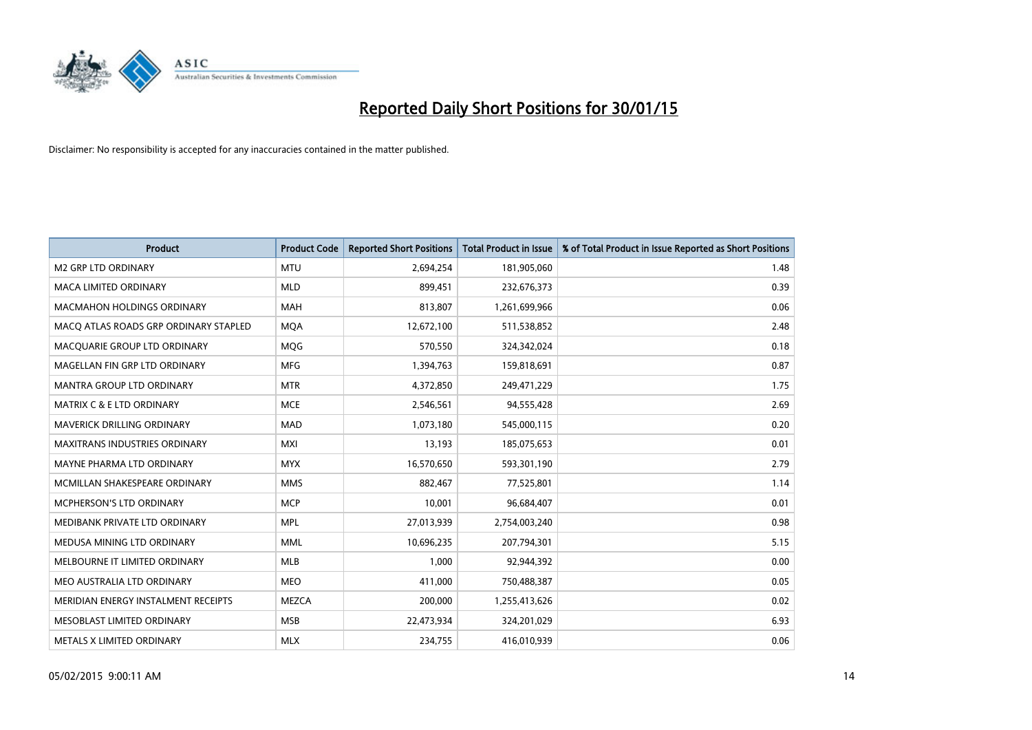

| <b>Product</b>                        | <b>Product Code</b> | <b>Reported Short Positions</b> | <b>Total Product in Issue</b> | % of Total Product in Issue Reported as Short Positions |
|---------------------------------------|---------------------|---------------------------------|-------------------------------|---------------------------------------------------------|
| <b>M2 GRP LTD ORDINARY</b>            | <b>MTU</b>          | 2,694,254                       | 181,905,060                   | 1.48                                                    |
| <b>MACA LIMITED ORDINARY</b>          | <b>MLD</b>          | 899,451                         | 232,676,373                   | 0.39                                                    |
| <b>MACMAHON HOLDINGS ORDINARY</b>     | MAH                 | 813,807                         | 1,261,699,966                 | 0.06                                                    |
| MACO ATLAS ROADS GRP ORDINARY STAPLED | <b>MOA</b>          | 12,672,100                      | 511,538,852                   | 2.48                                                    |
| MACOUARIE GROUP LTD ORDINARY          | <b>MOG</b>          | 570,550                         | 324,342,024                   | 0.18                                                    |
| MAGELLAN FIN GRP LTD ORDINARY         | <b>MFG</b>          | 1,394,763                       | 159,818,691                   | 0.87                                                    |
| MANTRA GROUP LTD ORDINARY             | <b>MTR</b>          | 4,372,850                       | 249,471,229                   | 1.75                                                    |
| MATRIX C & E LTD ORDINARY             | <b>MCE</b>          | 2,546,561                       | 94,555,428                    | 2.69                                                    |
| <b>MAVERICK DRILLING ORDINARY</b>     | <b>MAD</b>          | 1,073,180                       | 545,000,115                   | 0.20                                                    |
| <b>MAXITRANS INDUSTRIES ORDINARY</b>  | <b>MXI</b>          | 13,193                          | 185,075,653                   | 0.01                                                    |
| MAYNE PHARMA LTD ORDINARY             | <b>MYX</b>          | 16,570,650                      | 593,301,190                   | 2.79                                                    |
| MCMILLAN SHAKESPEARE ORDINARY         | <b>MMS</b>          | 882,467                         | 77,525,801                    | 1.14                                                    |
| MCPHERSON'S LTD ORDINARY              | <b>MCP</b>          | 10,001                          | 96,684,407                    | 0.01                                                    |
| MEDIBANK PRIVATE LTD ORDINARY         | <b>MPL</b>          | 27,013,939                      | 2,754,003,240                 | 0.98                                                    |
| MEDUSA MINING LTD ORDINARY            | <b>MML</b>          | 10,696,235                      | 207,794,301                   | 5.15                                                    |
| MELBOURNE IT LIMITED ORDINARY         | <b>MLB</b>          | 1,000                           | 92,944,392                    | 0.00                                                    |
| MEO AUSTRALIA LTD ORDINARY            | <b>MEO</b>          | 411,000                         | 750,488,387                   | 0.05                                                    |
| MERIDIAN ENERGY INSTALMENT RECEIPTS   | <b>MEZCA</b>        | 200,000                         | 1,255,413,626                 | 0.02                                                    |
| MESOBLAST LIMITED ORDINARY            | <b>MSB</b>          | 22,473,934                      | 324,201,029                   | 6.93                                                    |
| METALS X LIMITED ORDINARY             | <b>MLX</b>          | 234,755                         | 416,010,939                   | 0.06                                                    |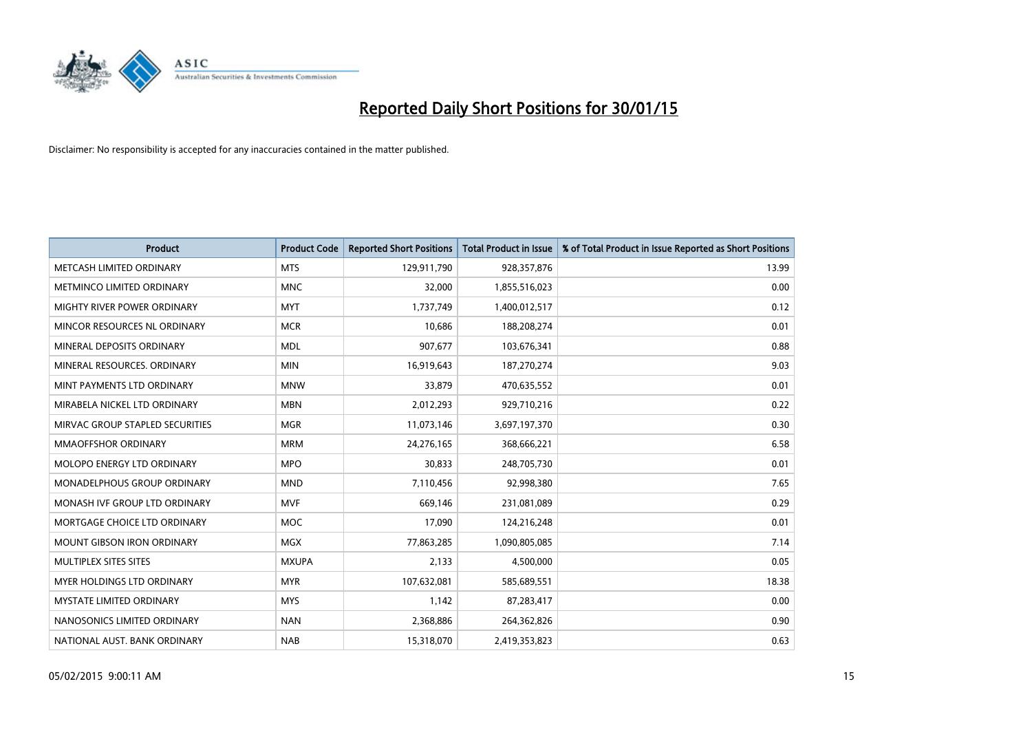

| <b>Product</b>                     | <b>Product Code</b> | <b>Reported Short Positions</b> | <b>Total Product in Issue</b> | % of Total Product in Issue Reported as Short Positions |
|------------------------------------|---------------------|---------------------------------|-------------------------------|---------------------------------------------------------|
| METCASH LIMITED ORDINARY           | <b>MTS</b>          | 129,911,790                     | 928,357,876                   | 13.99                                                   |
| METMINCO LIMITED ORDINARY          | <b>MNC</b>          | 32,000                          | 1,855,516,023                 | 0.00                                                    |
| MIGHTY RIVER POWER ORDINARY        | <b>MYT</b>          | 1,737,749                       | 1,400,012,517                 | 0.12                                                    |
| MINCOR RESOURCES NL ORDINARY       | <b>MCR</b>          | 10,686                          | 188,208,274                   | 0.01                                                    |
| MINERAL DEPOSITS ORDINARY          | <b>MDL</b>          | 907,677                         | 103,676,341                   | 0.88                                                    |
| MINERAL RESOURCES, ORDINARY        | <b>MIN</b>          | 16,919,643                      | 187,270,274                   | 9.03                                                    |
| MINT PAYMENTS LTD ORDINARY         | <b>MNW</b>          | 33,879                          | 470,635,552                   | 0.01                                                    |
| MIRABELA NICKEL LTD ORDINARY       | <b>MBN</b>          | 2,012,293                       | 929,710,216                   | 0.22                                                    |
| MIRVAC GROUP STAPLED SECURITIES    | <b>MGR</b>          | 11,073,146                      | 3,697,197,370                 | 0.30                                                    |
| <b>MMAOFFSHOR ORDINARY</b>         | <b>MRM</b>          | 24,276,165                      | 368,666,221                   | 6.58                                                    |
| MOLOPO ENERGY LTD ORDINARY         | <b>MPO</b>          | 30,833                          | 248,705,730                   | 0.01                                                    |
| <b>MONADELPHOUS GROUP ORDINARY</b> | <b>MND</b>          | 7,110,456                       | 92,998,380                    | 7.65                                                    |
| MONASH IVF GROUP LTD ORDINARY      | <b>MVF</b>          | 669,146                         | 231,081,089                   | 0.29                                                    |
| MORTGAGE CHOICE LTD ORDINARY       | <b>MOC</b>          | 17,090                          | 124,216,248                   | 0.01                                                    |
| <b>MOUNT GIBSON IRON ORDINARY</b>  | <b>MGX</b>          | 77,863,285                      | 1,090,805,085                 | 7.14                                                    |
| MULTIPLEX SITES SITES              | <b>MXUPA</b>        | 2,133                           | 4,500,000                     | 0.05                                                    |
| MYER HOLDINGS LTD ORDINARY         | <b>MYR</b>          | 107,632,081                     | 585,689,551                   | 18.38                                                   |
| <b>MYSTATE LIMITED ORDINARY</b>    | <b>MYS</b>          | 1,142                           | 87,283,417                    | 0.00                                                    |
| NANOSONICS LIMITED ORDINARY        | <b>NAN</b>          | 2,368,886                       | 264,362,826                   | 0.90                                                    |
| NATIONAL AUST. BANK ORDINARY       | <b>NAB</b>          | 15,318,070                      | 2,419,353,823                 | 0.63                                                    |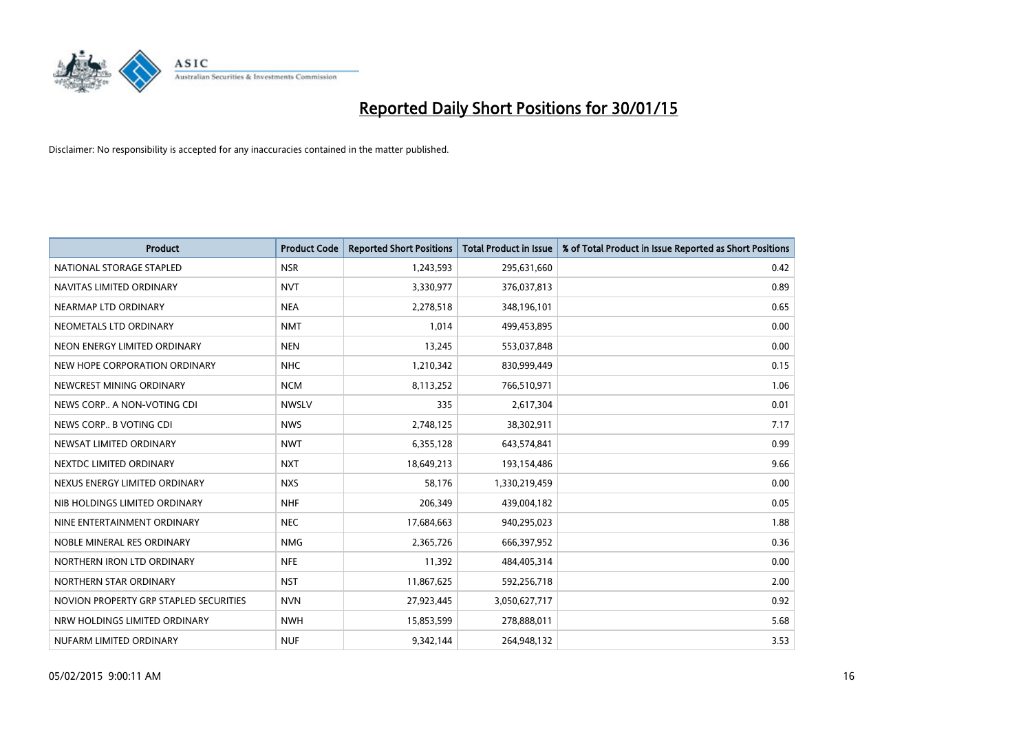

| <b>Product</b>                         | <b>Product Code</b> | <b>Reported Short Positions</b> | <b>Total Product in Issue</b> | % of Total Product in Issue Reported as Short Positions |
|----------------------------------------|---------------------|---------------------------------|-------------------------------|---------------------------------------------------------|
| NATIONAL STORAGE STAPLED               | <b>NSR</b>          | 1,243,593                       | 295,631,660                   | 0.42                                                    |
| NAVITAS LIMITED ORDINARY               | <b>NVT</b>          | 3,330,977                       | 376,037,813                   | 0.89                                                    |
| NEARMAP LTD ORDINARY                   | <b>NEA</b>          | 2,278,518                       | 348,196,101                   | 0.65                                                    |
| NEOMETALS LTD ORDINARY                 | <b>NMT</b>          | 1,014                           | 499,453,895                   | 0.00                                                    |
| NEON ENERGY LIMITED ORDINARY           | <b>NEN</b>          | 13,245                          | 553,037,848                   | 0.00                                                    |
| NEW HOPE CORPORATION ORDINARY          | <b>NHC</b>          | 1,210,342                       | 830,999,449                   | 0.15                                                    |
| NEWCREST MINING ORDINARY               | <b>NCM</b>          | 8,113,252                       | 766,510,971                   | 1.06                                                    |
| NEWS CORP A NON-VOTING CDI             | <b>NWSLV</b>        | 335                             | 2,617,304                     | 0.01                                                    |
| NEWS CORP B VOTING CDI                 | <b>NWS</b>          | 2,748,125                       | 38,302,911                    | 7.17                                                    |
| NEWSAT LIMITED ORDINARY                | <b>NWT</b>          | 6,355,128                       | 643,574,841                   | 0.99                                                    |
| NEXTDC LIMITED ORDINARY                | <b>NXT</b>          | 18,649,213                      | 193,154,486                   | 9.66                                                    |
| NEXUS ENERGY LIMITED ORDINARY          | <b>NXS</b>          | 58,176                          | 1,330,219,459                 | 0.00                                                    |
| NIB HOLDINGS LIMITED ORDINARY          | <b>NHF</b>          | 206,349                         | 439,004,182                   | 0.05                                                    |
| NINE ENTERTAINMENT ORDINARY            | <b>NEC</b>          | 17,684,663                      | 940,295,023                   | 1.88                                                    |
| NOBLE MINERAL RES ORDINARY             | <b>NMG</b>          | 2,365,726                       | 666,397,952                   | 0.36                                                    |
| NORTHERN IRON LTD ORDINARY             | <b>NFE</b>          | 11,392                          | 484,405,314                   | 0.00                                                    |
| NORTHERN STAR ORDINARY                 | <b>NST</b>          | 11,867,625                      | 592,256,718                   | 2.00                                                    |
| NOVION PROPERTY GRP STAPLED SECURITIES | <b>NVN</b>          | 27,923,445                      | 3,050,627,717                 | 0.92                                                    |
| NRW HOLDINGS LIMITED ORDINARY          | <b>NWH</b>          | 15,853,599                      | 278,888,011                   | 5.68                                                    |
| NUFARM LIMITED ORDINARY                | <b>NUF</b>          | 9,342,144                       | 264,948,132                   | 3.53                                                    |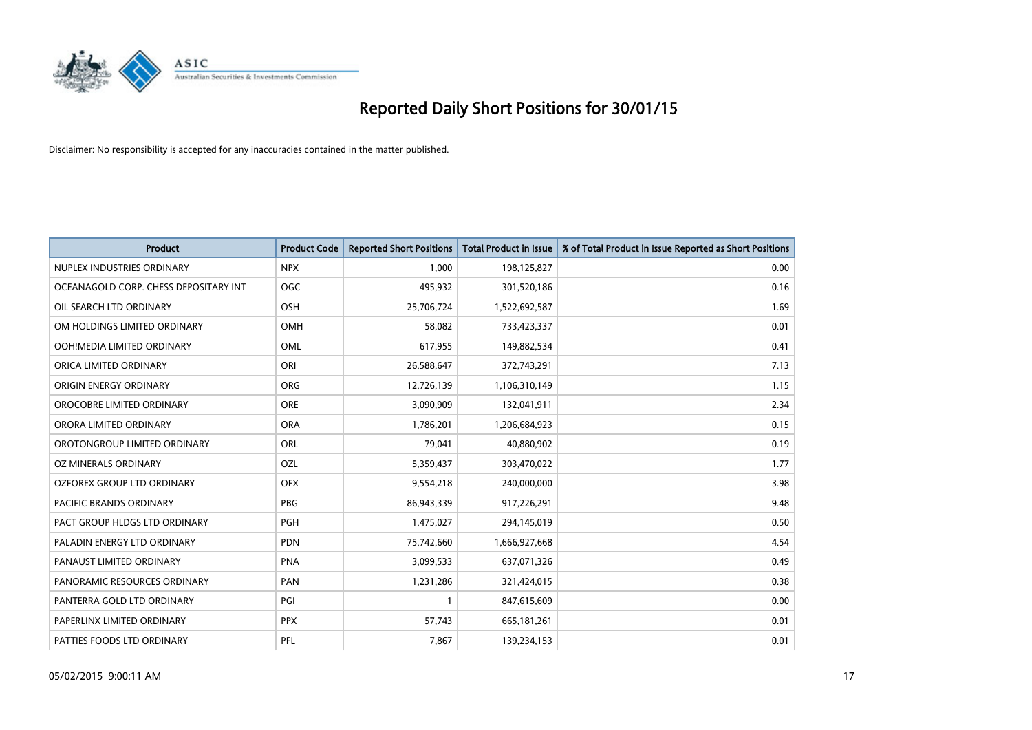

| <b>Product</b>                        | <b>Product Code</b> | <b>Reported Short Positions</b> | <b>Total Product in Issue</b> | % of Total Product in Issue Reported as Short Positions |
|---------------------------------------|---------------------|---------------------------------|-------------------------------|---------------------------------------------------------|
| NUPLEX INDUSTRIES ORDINARY            | <b>NPX</b>          | 1,000                           | 198,125,827                   | 0.00                                                    |
| OCEANAGOLD CORP. CHESS DEPOSITARY INT | <b>OGC</b>          | 495,932                         | 301,520,186                   | 0.16                                                    |
| OIL SEARCH LTD ORDINARY               | OSH                 | 25,706,724                      | 1,522,692,587                 | 1.69                                                    |
| OM HOLDINGS LIMITED ORDINARY          | OMH                 | 58,082                          | 733,423,337                   | 0.01                                                    |
| OOH!MEDIA LIMITED ORDINARY            | OML                 | 617,955                         | 149,882,534                   | 0.41                                                    |
| ORICA LIMITED ORDINARY                | ORI                 | 26,588,647                      | 372,743,291                   | 7.13                                                    |
| ORIGIN ENERGY ORDINARY                | <b>ORG</b>          | 12,726,139                      | 1,106,310,149                 | 1.15                                                    |
| OROCOBRE LIMITED ORDINARY             | <b>ORE</b>          | 3,090,909                       | 132,041,911                   | 2.34                                                    |
| ORORA LIMITED ORDINARY                | <b>ORA</b>          | 1,786,201                       | 1,206,684,923                 | 0.15                                                    |
| OROTONGROUP LIMITED ORDINARY          | ORL                 | 79,041                          | 40,880,902                    | 0.19                                                    |
| OZ MINERALS ORDINARY                  | OZL                 | 5,359,437                       | 303,470,022                   | 1.77                                                    |
| <b>OZFOREX GROUP LTD ORDINARY</b>     | <b>OFX</b>          | 9,554,218                       | 240,000,000                   | 3.98                                                    |
| PACIFIC BRANDS ORDINARY               | <b>PBG</b>          | 86,943,339                      | 917,226,291                   | 9.48                                                    |
| PACT GROUP HLDGS LTD ORDINARY         | <b>PGH</b>          | 1,475,027                       | 294,145,019                   | 0.50                                                    |
| PALADIN ENERGY LTD ORDINARY           | <b>PDN</b>          | 75,742,660                      | 1,666,927,668                 | 4.54                                                    |
| PANAUST LIMITED ORDINARY              | <b>PNA</b>          | 3,099,533                       | 637,071,326                   | 0.49                                                    |
| PANORAMIC RESOURCES ORDINARY          | PAN                 | 1,231,286                       | 321,424,015                   | 0.38                                                    |
| PANTERRA GOLD LTD ORDINARY            | PGI                 | 1                               | 847,615,609                   | 0.00                                                    |
| PAPERLINX LIMITED ORDINARY            | <b>PPX</b>          | 57,743                          | 665, 181, 261                 | 0.01                                                    |
| PATTIES FOODS LTD ORDINARY            | PFL                 | 7,867                           | 139,234,153                   | 0.01                                                    |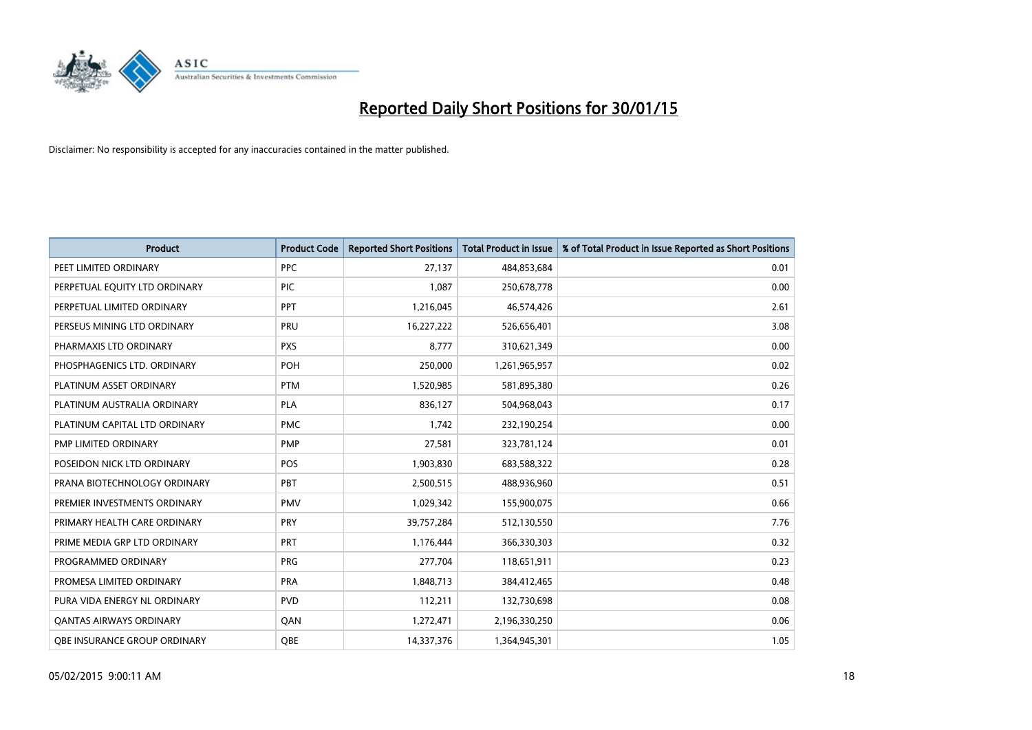

| <b>Product</b>                 | <b>Product Code</b> | <b>Reported Short Positions</b> | <b>Total Product in Issue</b> | % of Total Product in Issue Reported as Short Positions |
|--------------------------------|---------------------|---------------------------------|-------------------------------|---------------------------------------------------------|
| PEET LIMITED ORDINARY          | <b>PPC</b>          | 27,137                          | 484,853,684                   | 0.01                                                    |
| PERPETUAL EQUITY LTD ORDINARY  | <b>PIC</b>          | 1.087                           | 250,678,778                   | 0.00                                                    |
| PERPETUAL LIMITED ORDINARY     | PPT                 | 1,216,045                       | 46,574,426                    | 2.61                                                    |
| PERSEUS MINING LTD ORDINARY    | PRU                 | 16,227,222                      | 526,656,401                   | 3.08                                                    |
| PHARMAXIS LTD ORDINARY         | <b>PXS</b>          | 8,777                           | 310,621,349                   | 0.00                                                    |
| PHOSPHAGENICS LTD. ORDINARY    | POH                 | 250,000                         | 1,261,965,957                 | 0.02                                                    |
| PLATINUM ASSET ORDINARY        | <b>PTM</b>          | 1,520,985                       | 581,895,380                   | 0.26                                                    |
| PLATINUM AUSTRALIA ORDINARY    | PLA                 | 836,127                         | 504,968,043                   | 0.17                                                    |
| PLATINUM CAPITAL LTD ORDINARY  | <b>PMC</b>          | 1,742                           | 232,190,254                   | 0.00                                                    |
| PMP LIMITED ORDINARY           | <b>PMP</b>          | 27,581                          | 323,781,124                   | 0.01                                                    |
| POSEIDON NICK LTD ORDINARY     | <b>POS</b>          | 1,903,830                       | 683,588,322                   | 0.28                                                    |
| PRANA BIOTECHNOLOGY ORDINARY   | <b>PBT</b>          | 2,500,515                       | 488,936,960                   | 0.51                                                    |
| PREMIER INVESTMENTS ORDINARY   | <b>PMV</b>          | 1,029,342                       | 155,900,075                   | 0.66                                                    |
| PRIMARY HEALTH CARE ORDINARY   | <b>PRY</b>          | 39,757,284                      | 512,130,550                   | 7.76                                                    |
| PRIME MEDIA GRP LTD ORDINARY   | <b>PRT</b>          | 1,176,444                       | 366,330,303                   | 0.32                                                    |
| PROGRAMMED ORDINARY            | <b>PRG</b>          | 277,704                         | 118,651,911                   | 0.23                                                    |
| PROMESA LIMITED ORDINARY       | <b>PRA</b>          | 1,848,713                       | 384,412,465                   | 0.48                                                    |
| PURA VIDA ENERGY NL ORDINARY   | <b>PVD</b>          | 112,211                         | 132,730,698                   | 0.08                                                    |
| <b>QANTAS AIRWAYS ORDINARY</b> | QAN                 | 1,272,471                       | 2,196,330,250                 | 0.06                                                    |
| OBE INSURANCE GROUP ORDINARY   | <b>OBE</b>          | 14,337,376                      | 1,364,945,301                 | 1.05                                                    |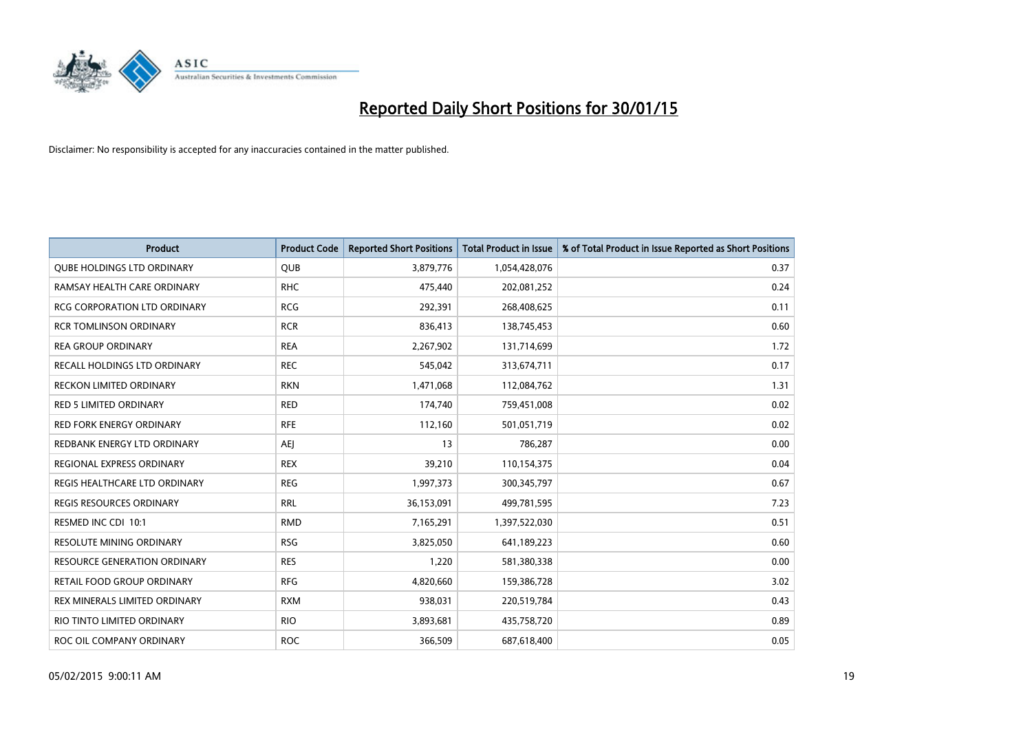

| <b>Product</b>                      | <b>Product Code</b> | <b>Reported Short Positions</b> | Total Product in Issue | % of Total Product in Issue Reported as Short Positions |
|-------------------------------------|---------------------|---------------------------------|------------------------|---------------------------------------------------------|
| <b>QUBE HOLDINGS LTD ORDINARY</b>   | <b>QUB</b>          | 3,879,776                       | 1,054,428,076          | 0.37                                                    |
| RAMSAY HEALTH CARE ORDINARY         | <b>RHC</b>          | 475,440                         | 202,081,252            | 0.24                                                    |
| <b>RCG CORPORATION LTD ORDINARY</b> | <b>RCG</b>          | 292,391                         | 268,408,625            | 0.11                                                    |
| <b>RCR TOMLINSON ORDINARY</b>       | <b>RCR</b>          | 836,413                         | 138,745,453            | 0.60                                                    |
| <b>REA GROUP ORDINARY</b>           | <b>REA</b>          | 2,267,902                       | 131,714,699            | 1.72                                                    |
| RECALL HOLDINGS LTD ORDINARY        | <b>REC</b>          | 545,042                         | 313,674,711            | 0.17                                                    |
| <b>RECKON LIMITED ORDINARY</b>      | <b>RKN</b>          | 1,471,068                       | 112,084,762            | 1.31                                                    |
| <b>RED 5 LIMITED ORDINARY</b>       | <b>RED</b>          | 174,740                         | 759,451,008            | 0.02                                                    |
| <b>RED FORK ENERGY ORDINARY</b>     | <b>RFE</b>          | 112,160                         | 501,051,719            | 0.02                                                    |
| REDBANK ENERGY LTD ORDINARY         | <b>AEI</b>          | 13                              | 786,287                | 0.00                                                    |
| REGIONAL EXPRESS ORDINARY           | <b>REX</b>          | 39,210                          | 110,154,375            | 0.04                                                    |
| REGIS HEALTHCARE LTD ORDINARY       | <b>REG</b>          | 1,997,373                       | 300,345,797            | 0.67                                                    |
| REGIS RESOURCES ORDINARY            | <b>RRL</b>          | 36,153,091                      | 499,781,595            | 7.23                                                    |
| RESMED INC CDI 10:1                 | <b>RMD</b>          | 7,165,291                       | 1,397,522,030          | 0.51                                                    |
| RESOLUTE MINING ORDINARY            | <b>RSG</b>          | 3,825,050                       | 641,189,223            | 0.60                                                    |
| <b>RESOURCE GENERATION ORDINARY</b> | <b>RES</b>          | 1,220                           | 581,380,338            | 0.00                                                    |
| RETAIL FOOD GROUP ORDINARY          | <b>RFG</b>          | 4,820,660                       | 159,386,728            | 3.02                                                    |
| REX MINERALS LIMITED ORDINARY       | <b>RXM</b>          | 938,031                         | 220,519,784            | 0.43                                                    |
| RIO TINTO LIMITED ORDINARY          | <b>RIO</b>          | 3,893,681                       | 435,758,720            | 0.89                                                    |
| ROC OIL COMPANY ORDINARY            | <b>ROC</b>          | 366,509                         | 687,618,400            | 0.05                                                    |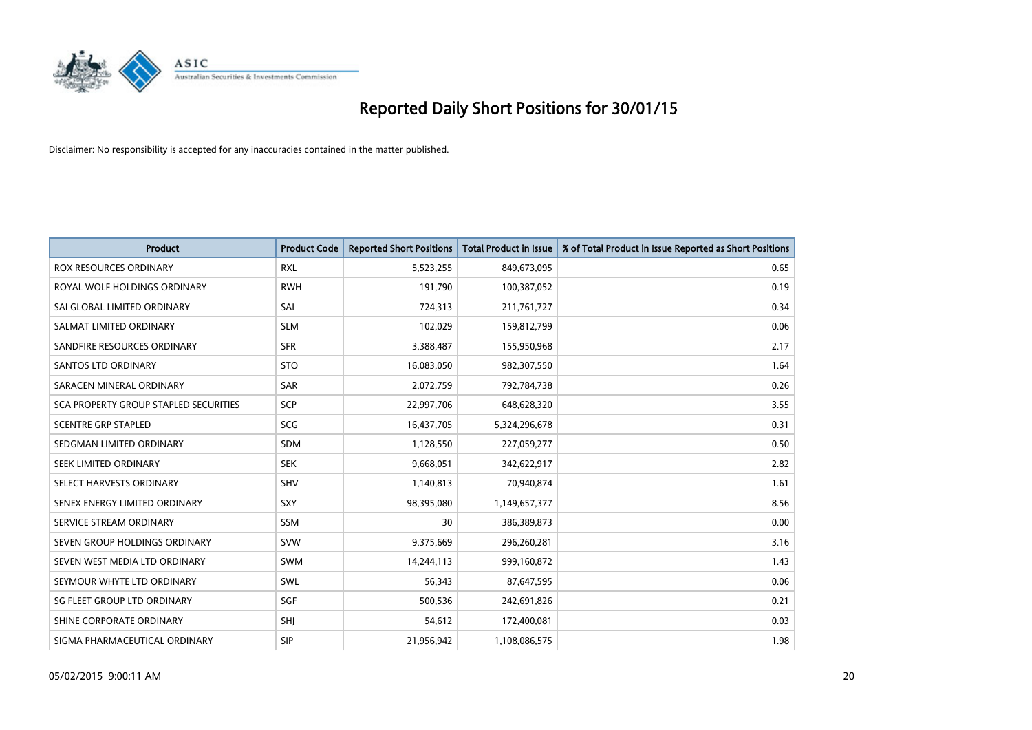

| <b>Product</b>                               | <b>Product Code</b> | <b>Reported Short Positions</b> | <b>Total Product in Issue</b> | % of Total Product in Issue Reported as Short Positions |
|----------------------------------------------|---------------------|---------------------------------|-------------------------------|---------------------------------------------------------|
| <b>ROX RESOURCES ORDINARY</b>                | <b>RXL</b>          | 5,523,255                       | 849,673,095                   | 0.65                                                    |
| ROYAL WOLF HOLDINGS ORDINARY                 | <b>RWH</b>          | 191,790                         | 100,387,052                   | 0.19                                                    |
| SAI GLOBAL LIMITED ORDINARY                  | SAI                 | 724,313                         | 211,761,727                   | 0.34                                                    |
| SALMAT LIMITED ORDINARY                      | <b>SLM</b>          | 102,029                         | 159,812,799                   | 0.06                                                    |
| SANDFIRE RESOURCES ORDINARY                  | <b>SFR</b>          | 3,388,487                       | 155,950,968                   | 2.17                                                    |
| SANTOS LTD ORDINARY                          | <b>STO</b>          | 16,083,050                      | 982,307,550                   | 1.64                                                    |
| SARACEN MINERAL ORDINARY                     | <b>SAR</b>          | 2,072,759                       | 792,784,738                   | 0.26                                                    |
| <b>SCA PROPERTY GROUP STAPLED SECURITIES</b> | SCP                 | 22,997,706                      | 648,628,320                   | 3.55                                                    |
| <b>SCENTRE GRP STAPLED</b>                   | <b>SCG</b>          | 16,437,705                      | 5,324,296,678                 | 0.31                                                    |
| SEDGMAN LIMITED ORDINARY                     | <b>SDM</b>          | 1,128,550                       | 227,059,277                   | 0.50                                                    |
| SEEK LIMITED ORDINARY                        | <b>SEK</b>          | 9,668,051                       | 342,622,917                   | 2.82                                                    |
| SELECT HARVESTS ORDINARY                     | SHV                 | 1,140,813                       | 70,940,874                    | 1.61                                                    |
| SENEX ENERGY LIMITED ORDINARY                | SXY                 | 98,395,080                      | 1,149,657,377                 | 8.56                                                    |
| SERVICE STREAM ORDINARY                      | SSM                 | 30                              | 386,389,873                   | 0.00                                                    |
| SEVEN GROUP HOLDINGS ORDINARY                | <b>SVW</b>          | 9,375,669                       | 296,260,281                   | 3.16                                                    |
| SEVEN WEST MEDIA LTD ORDINARY                | SWM                 | 14,244,113                      | 999,160,872                   | 1.43                                                    |
| SEYMOUR WHYTE LTD ORDINARY                   | SWL                 | 56,343                          | 87,647,595                    | 0.06                                                    |
| SG FLEET GROUP LTD ORDINARY                  | SGF                 | 500,536                         | 242,691,826                   | 0.21                                                    |
| SHINE CORPORATE ORDINARY                     | SHI                 | 54,612                          | 172,400,081                   | 0.03                                                    |
| SIGMA PHARMACEUTICAL ORDINARY                | <b>SIP</b>          | 21,956,942                      | 1,108,086,575                 | 1.98                                                    |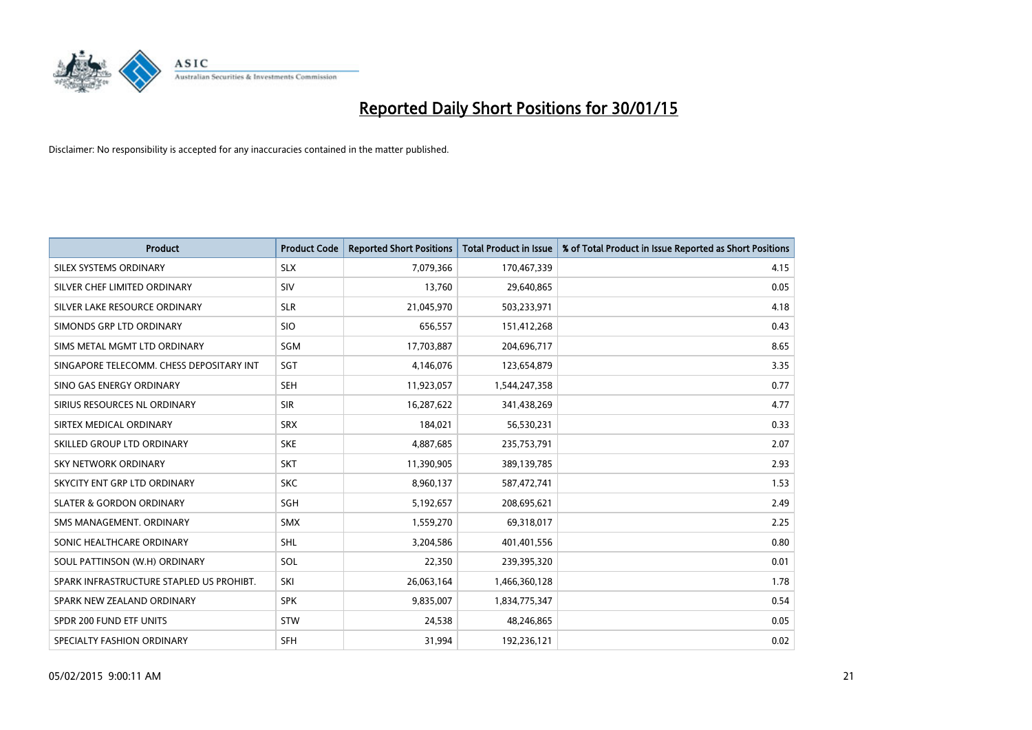

| <b>Product</b>                           | <b>Product Code</b> | <b>Reported Short Positions</b> | <b>Total Product in Issue</b> | % of Total Product in Issue Reported as Short Positions |
|------------------------------------------|---------------------|---------------------------------|-------------------------------|---------------------------------------------------------|
| SILEX SYSTEMS ORDINARY                   | <b>SLX</b>          | 7,079,366                       | 170,467,339                   | 4.15                                                    |
| SILVER CHEF LIMITED ORDINARY             | <b>SIV</b>          | 13,760                          | 29,640,865                    | 0.05                                                    |
| SILVER LAKE RESOURCE ORDINARY            | <b>SLR</b>          | 21,045,970                      | 503,233,971                   | 4.18                                                    |
| SIMONDS GRP LTD ORDINARY                 | <b>SIO</b>          | 656,557                         | 151,412,268                   | 0.43                                                    |
| SIMS METAL MGMT LTD ORDINARY             | SGM                 | 17,703,887                      | 204,696,717                   | 8.65                                                    |
| SINGAPORE TELECOMM. CHESS DEPOSITARY INT | SGT                 | 4,146,076                       | 123,654,879                   | 3.35                                                    |
| SINO GAS ENERGY ORDINARY                 | <b>SEH</b>          | 11,923,057                      | 1,544,247,358                 | 0.77                                                    |
| SIRIUS RESOURCES NL ORDINARY             | <b>SIR</b>          | 16,287,622                      | 341,438,269                   | 4.77                                                    |
| SIRTEX MEDICAL ORDINARY                  | <b>SRX</b>          | 184,021                         | 56,530,231                    | 0.33                                                    |
| SKILLED GROUP LTD ORDINARY               | <b>SKE</b>          | 4,887,685                       | 235,753,791                   | 2.07                                                    |
| SKY NETWORK ORDINARY                     | <b>SKT</b>          | 11,390,905                      | 389,139,785                   | 2.93                                                    |
| SKYCITY ENT GRP LTD ORDINARY             | <b>SKC</b>          | 8,960,137                       | 587,472,741                   | 1.53                                                    |
| <b>SLATER &amp; GORDON ORDINARY</b>      | SGH                 | 5,192,657                       | 208,695,621                   | 2.49                                                    |
| SMS MANAGEMENT, ORDINARY                 | <b>SMX</b>          | 1,559,270                       | 69,318,017                    | 2.25                                                    |
| SONIC HEALTHCARE ORDINARY                | <b>SHL</b>          | 3,204,586                       | 401,401,556                   | 0.80                                                    |
| SOUL PATTINSON (W.H) ORDINARY            | SOL                 | 22,350                          | 239,395,320                   | 0.01                                                    |
| SPARK INFRASTRUCTURE STAPLED US PROHIBT. | SKI                 | 26,063,164                      | 1,466,360,128                 | 1.78                                                    |
| SPARK NEW ZEALAND ORDINARY               | <b>SPK</b>          | 9,835,007                       | 1,834,775,347                 | 0.54                                                    |
| SPDR 200 FUND ETF UNITS                  | <b>STW</b>          | 24,538                          | 48,246,865                    | 0.05                                                    |
| SPECIALTY FASHION ORDINARY               | <b>SFH</b>          | 31,994                          | 192,236,121                   | 0.02                                                    |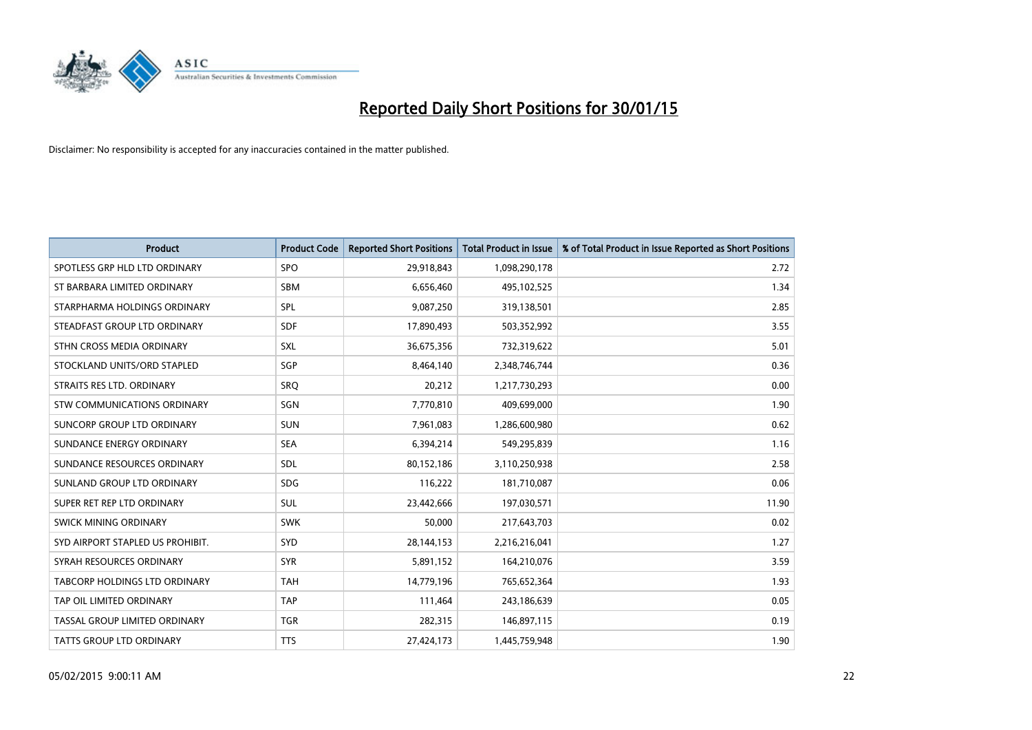

| <b>Product</b>                   | <b>Product Code</b> | <b>Reported Short Positions</b> | <b>Total Product in Issue</b> | % of Total Product in Issue Reported as Short Positions |
|----------------------------------|---------------------|---------------------------------|-------------------------------|---------------------------------------------------------|
| SPOTLESS GRP HLD LTD ORDINARY    | <b>SPO</b>          | 29,918,843                      | 1,098,290,178                 | 2.72                                                    |
| ST BARBARA LIMITED ORDINARY      | <b>SBM</b>          | 6,656,460                       | 495,102,525                   | 1.34                                                    |
| STARPHARMA HOLDINGS ORDINARY     | <b>SPL</b>          | 9,087,250                       | 319,138,501                   | 2.85                                                    |
| STEADFAST GROUP LTD ORDINARY     | <b>SDF</b>          | 17,890,493                      | 503,352,992                   | 3.55                                                    |
| STHN CROSS MEDIA ORDINARY        | <b>SXL</b>          | 36,675,356                      | 732,319,622                   | 5.01                                                    |
| STOCKLAND UNITS/ORD STAPLED      | SGP                 | 8,464,140                       | 2,348,746,744                 | 0.36                                                    |
| STRAITS RES LTD. ORDINARY        | SRO                 | 20,212                          | 1,217,730,293                 | 0.00                                                    |
| STW COMMUNICATIONS ORDINARY      | SGN                 | 7,770,810                       | 409,699,000                   | 1.90                                                    |
| SUNCORP GROUP LTD ORDINARY       | <b>SUN</b>          | 7,961,083                       | 1,286,600,980                 | 0.62                                                    |
| SUNDANCE ENERGY ORDINARY         | <b>SEA</b>          | 6,394,214                       | 549,295,839                   | 1.16                                                    |
| SUNDANCE RESOURCES ORDINARY      | SDL                 | 80,152,186                      | 3,110,250,938                 | 2.58                                                    |
| SUNLAND GROUP LTD ORDINARY       | <b>SDG</b>          | 116,222                         | 181,710,087                   | 0.06                                                    |
| SUPER RET REP LTD ORDINARY       | <b>SUL</b>          | 23,442,666                      | 197,030,571                   | 11.90                                                   |
| SWICK MINING ORDINARY            | <b>SWK</b>          | 50.000                          | 217,643,703                   | 0.02                                                    |
| SYD AIRPORT STAPLED US PROHIBIT. | <b>SYD</b>          | 28,144,153                      | 2,216,216,041                 | 1.27                                                    |
| SYRAH RESOURCES ORDINARY         | <b>SYR</b>          | 5,891,152                       | 164,210,076                   | 3.59                                                    |
| TABCORP HOLDINGS LTD ORDINARY    | <b>TAH</b>          | 14,779,196                      | 765,652,364                   | 1.93                                                    |
| TAP OIL LIMITED ORDINARY         | <b>TAP</b>          | 111,464                         | 243,186,639                   | 0.05                                                    |
| TASSAL GROUP LIMITED ORDINARY    | <b>TGR</b>          | 282,315                         | 146,897,115                   | 0.19                                                    |
| <b>TATTS GROUP LTD ORDINARY</b>  | <b>TTS</b>          | 27,424,173                      | 1,445,759,948                 | 1.90                                                    |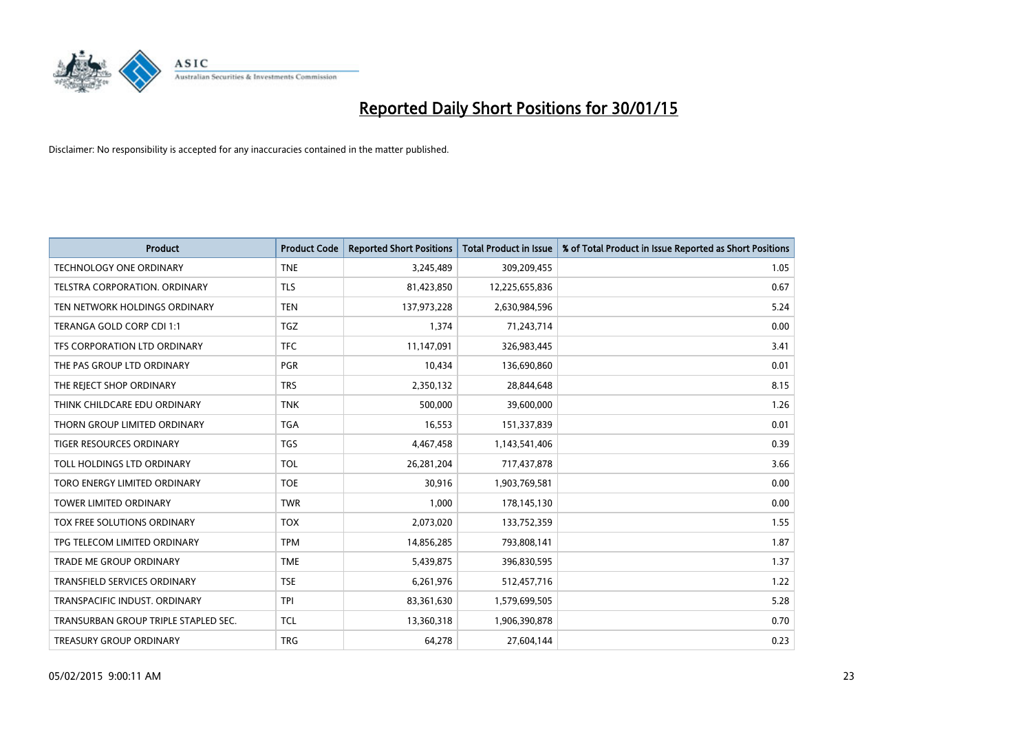

| <b>Product</b>                       | <b>Product Code</b> | <b>Reported Short Positions</b> | <b>Total Product in Issue</b> | % of Total Product in Issue Reported as Short Positions |
|--------------------------------------|---------------------|---------------------------------|-------------------------------|---------------------------------------------------------|
| <b>TECHNOLOGY ONE ORDINARY</b>       | <b>TNE</b>          | 3,245,489                       | 309,209,455                   | 1.05                                                    |
| TELSTRA CORPORATION. ORDINARY        | <b>TLS</b>          | 81,423,850                      | 12,225,655,836                | 0.67                                                    |
| TEN NETWORK HOLDINGS ORDINARY        | <b>TEN</b>          | 137,973,228                     | 2,630,984,596                 | 5.24                                                    |
| TERANGA GOLD CORP CDI 1:1            | <b>TGZ</b>          | 1,374                           | 71,243,714                    | 0.00                                                    |
| TFS CORPORATION LTD ORDINARY         | <b>TFC</b>          | 11,147,091                      | 326,983,445                   | 3.41                                                    |
| THE PAS GROUP LTD ORDINARY           | <b>PGR</b>          | 10,434                          | 136,690,860                   | 0.01                                                    |
| THE REJECT SHOP ORDINARY             | <b>TRS</b>          | 2,350,132                       | 28,844,648                    | 8.15                                                    |
| THINK CHILDCARE EDU ORDINARY         | <b>TNK</b>          | 500,000                         | 39,600,000                    | 1.26                                                    |
| THORN GROUP LIMITED ORDINARY         | <b>TGA</b>          | 16,553                          | 151,337,839                   | 0.01                                                    |
| TIGER RESOURCES ORDINARY             | <b>TGS</b>          | 4,467,458                       | 1,143,541,406                 | 0.39                                                    |
| TOLL HOLDINGS LTD ORDINARY           | <b>TOL</b>          | 26,281,204                      | 717,437,878                   | 3.66                                                    |
| TORO ENERGY LIMITED ORDINARY         | <b>TOE</b>          | 30,916                          | 1,903,769,581                 | 0.00                                                    |
| <b>TOWER LIMITED ORDINARY</b>        | <b>TWR</b>          | 1,000                           | 178,145,130                   | 0.00                                                    |
| TOX FREE SOLUTIONS ORDINARY          | <b>TOX</b>          | 2,073,020                       | 133,752,359                   | 1.55                                                    |
| TPG TELECOM LIMITED ORDINARY         | <b>TPM</b>          | 14,856,285                      | 793,808,141                   | 1.87                                                    |
| <b>TRADE ME GROUP ORDINARY</b>       | <b>TME</b>          | 5,439,875                       | 396,830,595                   | 1.37                                                    |
| TRANSFIELD SERVICES ORDINARY         | <b>TSE</b>          | 6,261,976                       | 512,457,716                   | 1.22                                                    |
| TRANSPACIFIC INDUST, ORDINARY        | <b>TPI</b>          | 83,361,630                      | 1,579,699,505                 | 5.28                                                    |
| TRANSURBAN GROUP TRIPLE STAPLED SEC. | <b>TCL</b>          | 13,360,318                      | 1,906,390,878                 | 0.70                                                    |
| TREASURY GROUP ORDINARY              | <b>TRG</b>          | 64,278                          | 27,604,144                    | 0.23                                                    |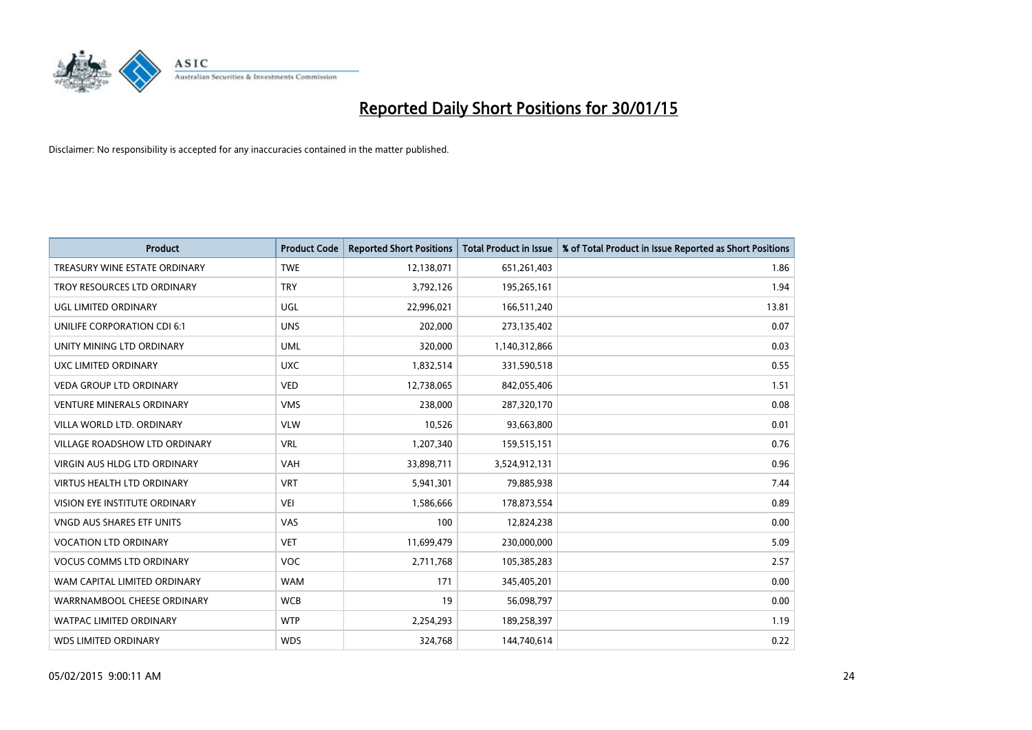

| <b>Product</b>                       | <b>Product Code</b> | <b>Reported Short Positions</b> | <b>Total Product in Issue</b> | % of Total Product in Issue Reported as Short Positions |
|--------------------------------------|---------------------|---------------------------------|-------------------------------|---------------------------------------------------------|
| TREASURY WINE ESTATE ORDINARY        | <b>TWE</b>          | 12,138,071                      | 651,261,403                   | 1.86                                                    |
| TROY RESOURCES LTD ORDINARY          | <b>TRY</b>          | 3,792,126                       | 195,265,161                   | 1.94                                                    |
| UGL LIMITED ORDINARY                 | UGL                 | 22,996,021                      | 166,511,240                   | 13.81                                                   |
| UNILIFE CORPORATION CDI 6:1          | <b>UNS</b>          | 202,000                         | 273,135,402                   | 0.07                                                    |
| UNITY MINING LTD ORDINARY            | <b>UML</b>          | 320,000                         | 1,140,312,866                 | 0.03                                                    |
| UXC LIMITED ORDINARY                 | <b>UXC</b>          | 1,832,514                       | 331,590,518                   | 0.55                                                    |
| <b>VEDA GROUP LTD ORDINARY</b>       | <b>VED</b>          | 12,738,065                      | 842,055,406                   | 1.51                                                    |
| <b>VENTURE MINERALS ORDINARY</b>     | <b>VMS</b>          | 238,000                         | 287,320,170                   | 0.08                                                    |
| VILLA WORLD LTD, ORDINARY            | <b>VLW</b>          | 10,526                          | 93,663,800                    | 0.01                                                    |
| <b>VILLAGE ROADSHOW LTD ORDINARY</b> | <b>VRL</b>          | 1,207,340                       | 159,515,151                   | 0.76                                                    |
| VIRGIN AUS HLDG LTD ORDINARY         | VAH                 | 33,898,711                      | 3,524,912,131                 | 0.96                                                    |
| <b>VIRTUS HEALTH LTD ORDINARY</b>    | <b>VRT</b>          | 5,941,301                       | 79,885,938                    | 7.44                                                    |
| VISION EYE INSTITUTE ORDINARY        | VEI                 | 1,586,666                       | 178,873,554                   | 0.89                                                    |
| VNGD AUS SHARES ETF UNITS            | <b>VAS</b>          | 100                             | 12,824,238                    | 0.00                                                    |
| <b>VOCATION LTD ORDINARY</b>         | <b>VET</b>          | 11,699,479                      | 230,000,000                   | 5.09                                                    |
| <b>VOCUS COMMS LTD ORDINARY</b>      | VOC                 | 2,711,768                       | 105,385,283                   | 2.57                                                    |
| WAM CAPITAL LIMITED ORDINARY         | <b>WAM</b>          | 171                             | 345,405,201                   | 0.00                                                    |
| WARRNAMBOOL CHEESE ORDINARY          | <b>WCB</b>          | 19                              | 56,098,797                    | 0.00                                                    |
| <b>WATPAC LIMITED ORDINARY</b>       | <b>WTP</b>          | 2,254,293                       | 189,258,397                   | 1.19                                                    |
| <b>WDS LIMITED ORDINARY</b>          | <b>WDS</b>          | 324,768                         | 144,740,614                   | 0.22                                                    |